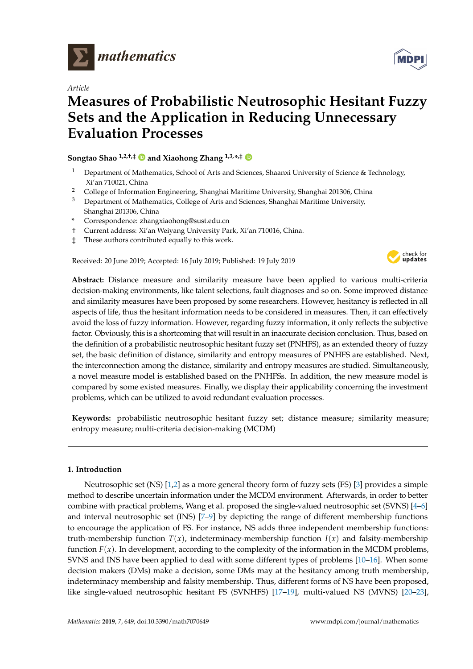

*Article*

# **Measures of Probabilistic Neutrosophic Hesitant Fuzzy Sets and the Application in Reducing Unnecessary Evaluation Processes**

## **Songtao Shao 1,2,†,‡ and Xiaohong Zhang 1,3,\* ,‡**

- <sup>1</sup> Department of Mathematics, School of Arts and Sciences, Shaanxi University of Science & Technology, Xi'an 710021, China
- <sup>2</sup> College of Information Engineering, Shanghai Maritime University, Shanghai 201306, China<br><sup>3</sup> Department of Mathematics College of Arts and Sciences. Shanghai Maritime University.
- <sup>3</sup> Department of Mathematics, College of Arts and Sciences, Shanghai Maritime University, Shanghai 201306, China
- **\*** Correspondence: zhangxiaohong@sust.edu.cn
- † Current address: Xi'an Weiyang University Park, Xi'an 710016, China.
- ‡ These authors contributed equally to this work.

Received: 20 June 2019; Accepted: 16 July 2019; Published: 19 July 2019



**Abstract:** Distance measure and similarity measure have been applied to various multi-criteria decision-making environments, like talent selections, fault diagnoses and so on. Some improved distance and similarity measures have been proposed by some researchers. However, hesitancy is reflected in all aspects of life, thus the hesitant information needs to be considered in measures. Then, it can effectively avoid the loss of fuzzy information. However, regarding fuzzy information, it only reflects the subjective factor. Obviously, this is a shortcoming that will result in an inaccurate decision conclusion. Thus, based on the definition of a probabilistic neutrosophic hesitant fuzzy set (PNHFS), as an extended theory of fuzzy set, the basic definition of distance, similarity and entropy measures of PNHFS are established. Next, the interconnection among the distance, similarity and entropy measures are studied. Simultaneously, a novel measure model is established based on the PNHFSs. In addition, the new measure model is compared by some existed measures. Finally, we display their applicability concerning the investment problems, which can be utilized to avoid redundant evaluation processes.

**Keywords:** probabilistic neutrosophic hesitant fuzzy set; distance measure; similarity measure; entropy measure; multi-criteria decision-making (MCDM)

## **1. Introduction**

Neutrosophic set (NS) [\[1,](#page-20-0)[2\]](#page-20-1) as a more general theory form of fuzzy sets (FS) [\[3\]](#page-20-2) provides a simple method to describe uncertain information under the MCDM environment. Afterwards, in order to better combine with practical problems, Wang et al. proposed the single-valued neutrosophic set (SVNS) [\[4](#page-20-3)[–6\]](#page-20-4) and interval neutrosophic set (INS) [\[7](#page-20-5)[–9\]](#page-20-6) by depicting the range of different membership functions to encourage the application of FS. For instance, NS adds three independent membership functions: truth-membership function  $T(x)$ , indeterminacy-membership function  $I(x)$  and falsity-membership function  $F(x)$ . In development, according to the complexity of the information in the MCDM problems, SVNS and INS have been applied to deal with some different types of problems [\[10](#page-20-7)[–16\]](#page-20-8). When some decision makers (DMs) make a decision, some DMs may at the hesitancy among truth membership, indeterminacy membership and falsity membership. Thus, different forms of NS have been proposed, like single-valued neutrosophic hesitant FS (SVNHFS) [\[17–](#page-20-9)[19\]](#page-20-10), multi-valued NS (MVNS) [\[20](#page-20-11)[–23\]](#page-21-0),

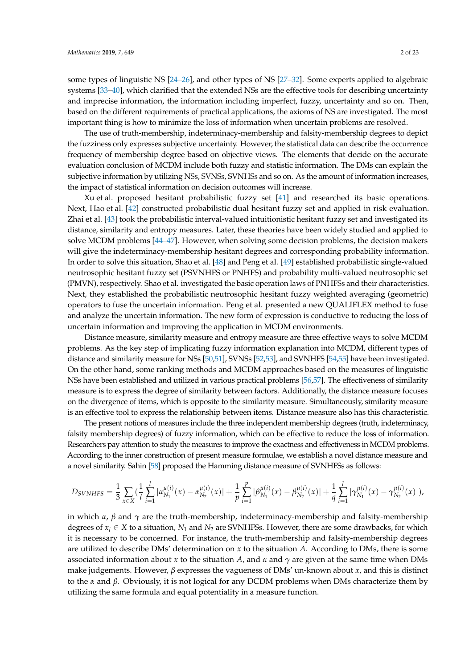some types of linguistic NS [\[24–](#page-21-1)[26\]](#page-21-2), and other types of NS [\[27](#page-21-3)[–32\]](#page-21-4). Some experts applied to algebraic systems [\[33](#page-21-5)[–40\]](#page-21-6), which clarified that the extended NSs are the effective tools for describing uncertainty and imprecise information, the information including imperfect, fuzzy, uncertainty and so on. Then, based on the different requirements of practical applications, the axioms of NS are investigated. The most important thing is how to minimize the loss of information when uncertain problems are resolved.

The use of truth-membership, indeterminacy-membership and falsity-membership degrees to depict the fuzziness only expresses subjective uncertainty. However, the statistical data can describe the occurrence frequency of membership degree based on objective views. The elements that decide on the accurate evaluation conclusion of MCDM include both fuzzy and statistic information. The DMs can explain the subjective information by utilizing NSs, SVNSs, SVNHSs and so on. As the amount of information increases, the impact of statistical information on decision outcomes will increase.

Xu et al. proposed hesitant probabilistic fuzzy set [\[41\]](#page-21-7) and researched its basic operations. Next, Hao et al. [\[42\]](#page-21-8) constructed probabilistic dual hesitant fuzzy set and applied in risk evaluation. Zhai et al. [\[43\]](#page-21-9) took the probabilistic interval-valued intuitionistic hesitant fuzzy set and investigated its distance, similarity and entropy measures. Later, these theories have been widely studied and applied to solve MCDM problems [\[44](#page-21-10)[–47\]](#page-22-0). However, when solving some decision problems, the decision makers will give the indeterminacy-membership hesitant degrees and corresponding probability information. In order to solve this situation, Shao et al. [\[48\]](#page-22-1) and Peng et al. [\[49\]](#page-22-2) established probabilistic single-valued neutrosophic hesitant fuzzy set (PSVNHFS or PNHFS) and probability multi-valued neutrosophic set (PMVN), respectively. Shao et al. investigated the basic operation laws of PNHFSs and their characteristics. Next, they established the probabilistic neutrosophic hesitant fuzzy weighted averaging (geometric) operators to fuse the uncertain information. Peng et al. presented a new QUALIFLEX method to fuse and analyze the uncertain information. The new form of expression is conductive to reducing the loss of uncertain information and improving the application in MCDM environments.

Distance measure, similarity measure and entropy measure are three effective ways to solve MCDM problems. As the key step of implicating fuzzy information explanation into MCDM, different types of distance and similarity measure for NSs [\[50](#page-22-3)[,51\]](#page-22-4), SVNSs [\[52](#page-22-5)[,53\]](#page-22-6), and SVNHFS [\[54,](#page-22-7)[55\]](#page-22-8) have been investigated. On the other hand, some ranking methods and MCDM approaches based on the measures of linguistic NSs have been established and utilized in various practical problems [\[56](#page-22-9)[,57\]](#page-22-10). The effectiveness of similarity measure is to express the degree of similarity between factors. Additionally, the distance measure focuses on the divergence of items, which is opposite to the similarity measure. Simultaneously, similarity measure is an effective tool to express the relationship between items. Distance measure also has this characteristic.

The present notions of measures include the three independent membership degrees (truth, indeterminacy, falsity membership degrees) of fuzzy information, which can be effective to reduce the loss of information. Researchers pay attention to study the measures to improve the exactness and effectiveness in MCDM problems. According to the inner construction of present measure formulae, we establish a novel distance measure and a novel similarity. Sahin [\[58\]](#page-22-11) proposed the Hamming distance measure of SVNHFSs as follows:

$$
D_{SVNHFS}=\frac{1}{3}\sum_{x\in X}(\frac{1}{l}\sum_{i=1}^l|\alpha_{N_1}^{\mu(i)}(x)-\alpha_{N_2}^{\mu(i)}(x)|+\frac{1}{p}\sum_{i=1}^p|\beta_{N_1}^{\mu(i)}(x)-\beta_{N_2}^{\mu(i)}(x)|+\frac{1}{q}\sum_{i=1}^l|\gamma_{N_1}^{\mu(i)}(x)-\gamma_{N_2}^{\mu(i)}(x)|),
$$

in which  $\alpha$ ,  $\beta$  and  $\gamma$  are the truth-membership, indeterminacy-membership and falsity-membership degrees of  $x_i \in X$  to a situation,  $N_1$  and  $N_2$  are SVNHFSs. However, there are some drawbacks, for which it is necessary to be concerned. For instance, the truth-membership and falsity-membership degrees are utilized to describe DMs' determination on *x* to the situation *A*. According to DMs, there is some associated information about *x* to the situation *A*, and  $\alpha$  and  $\gamma$  are given at the same time when DMs make judgements. However,  $\beta$  expresses the vagueness of DMs' un-known about *x*, and this is distinct to the *α* and *β*. Obviously, it is not logical for any DCDM problems when DMs characterize them by utilizing the same formula and equal potentiality in a measure function.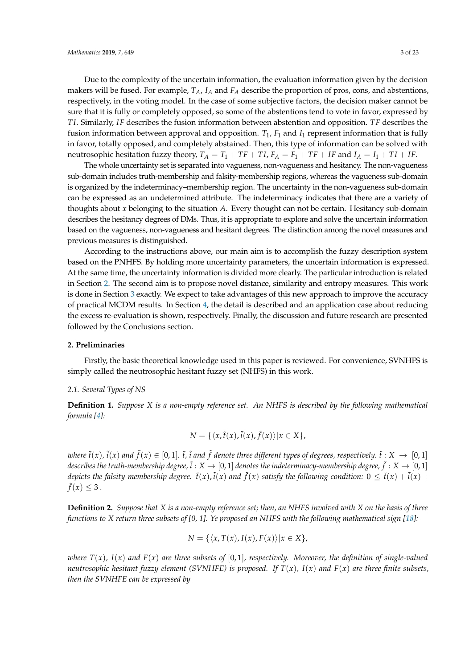Due to the complexity of the uncertain information, the evaluation information given by the decision makers will be fused. For example, *TA*, *I<sup>A</sup>* and *F<sup>A</sup>* describe the proportion of pros, cons, and abstentions, respectively, in the voting model. In the case of some subjective factors, the decision maker cannot be sure that it is fully or completely opposed, so some of the abstentions tend to vote in favor, expressed by *T I*. Similarly, *IF* describes the fusion information between abstention and opposition. *TF* describes the fusion information between approval and opposition.  $T_1$ ,  $F_1$  and  $I_1$  represent information that is fully in favor, totally opposed, and completely abstained. Then, this type of information can be solved with neutrosophic hesitation fuzzy theory,  $T_A = T_1 + TF + TI$ ,  $F_A = F_1 + TF + IF$  and  $I_A = I_1 + TI + IF$ .

The whole uncertainty set is separated into vagueness, non-vagueness and hesitancy. The non-vagueness sub-domain includes truth-membership and falsity-membership regions, whereas the vagueness sub-domain is organized by the indeterminacy–membership region. The uncertainty in the non-vagueness sub-domain can be expressed as an undetermined attribute. The indeterminacy indicates that there are a variety of thoughts about *x* belonging to the situation *A*. Every thought can not be certain. Hesitancy sub-domain describes the hesitancy degrees of DMs. Thus, it is appropriate to explore and solve the uncertain information based on the vagueness, non-vagueness and hesitant degrees. The distinction among the novel measures and previous measures is distinguished.

According to the instructions above, our main aim is to accomplish the fuzzy description system based on the PNHFS. By holding more uncertainty parameters, the uncertain information is expressed. At the same time, the uncertainty information is divided more clearly. The particular introduction is related in Section [2.](#page-2-0) The second aim is to propose novel distance, similarity and entropy measures. This work is done in Section [3](#page-3-0) exactly. We expect to take advantages of this new approach to improve the accuracy of practical MCDM results. In Section [4,](#page-15-0) the detail is described and an application case about reducing the excess re-evaluation is shown, respectively. Finally, the discussion and future research are presented followed by the Conclusions section.

#### <span id="page-2-0"></span>**2. Preliminaries**

Firstly, the basic theoretical knowledge used in this paper is reviewed. For convenience, SVNHFS is simply called the neutrosophic hesitant fuzzy set (NHFS) in this work.

#### *2.1. Several Types of NS*

**Definition 1.** *Suppose X is a non-empty reference set. An NHFS is described by the following mathematical formula [\[4\]](#page-20-3):*

$$
N = \{ \langle x, \tilde{t}(x), \tilde{t}(x), \tilde{f}(x) \rangle | x \in X \},
$$

where  $\tilde{t}(x)$  ,  $\tilde{i}(x)$  and  $\tilde{f}(x)\in[0,1]$ .  $\tilde{t}$ ,  $\tilde{i}$  and  $\tilde{f}$  denote three different types of degrees, respectively.  $\tilde{t}:X\to[0,1]$ describes the truth-membership degree,  $\tilde{i}:X\to[0,1]$  denotes the indeterminacy-membership degree,  $\tilde{f}:X\to[0,1]$ depicts the falsity-membership degree.  $\tilde{t}(x)$ ,  $\tilde{i}(x)$  and  $\tilde{f}(x)$  satisfy the following condition:  $0\leq \tilde{t}(x)+\tilde{i}(x)+\tilde{j}(x)$  $\tilde{f}(x) \leq 3$  .

**Definition 2.** *Suppose that X is a non-empty reference set; then, an NHFS involved with X on the basis of three functions to X return three subsets of [0, 1]. Ye proposed an NHFS with the following mathematical sign [\[18\]](#page-20-12):* 

$$
N = \{ \langle x, T(x), I(x), F(x) \rangle | x \in X \},\
$$

*where*  $T(x)$ *,*  $I(x)$  *and*  $F(x)$  *are three subsets of* [0,1]*, respectively. Moreover, the definition of single-valued neutrosophic hesitant fuzzy element (SVNHFE) is proposed. If T*(*x*)*, I*(*x*) *and F*(*x*) *are three finite subsets, then the SVNHFE can be expressed by*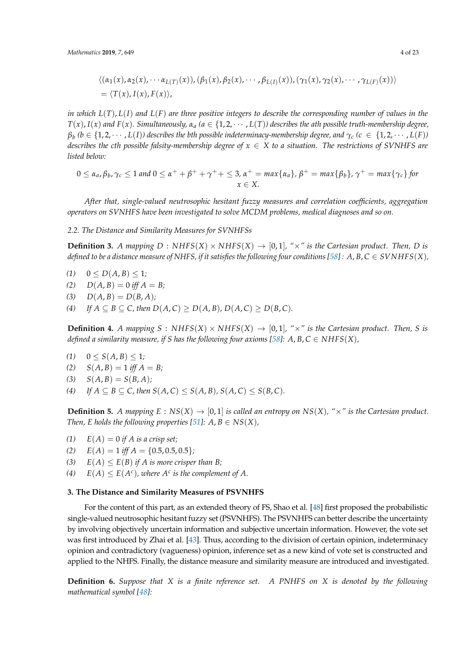$$
\langle (\alpha_1(x), \alpha_2(x), \cdots \alpha_{L(T)}(x)), (\beta_1(x), \beta_2(x), \cdots, \beta_{L(I)}(x)), (\gamma_1(x), \gamma_2(x), \cdots, \gamma_{L(F)}(x)) \rangle
$$
  
=  $\langle T(x), I(x), F(x) \rangle$ ,

*in which L*(*T*), *L*(*I*) *and L*(*F*) *are three positive integers to describe the corresponding number of values in the*  $T(x)$ ,  $I(x)$  *and*  $F(x)$ *. Simultaneously,*  $\alpha_a$  ( $a \in \{1, 2, \cdots, L(T)\}$  describes the *ath possible truth-membership degree,*  $\beta_b$  ( $b \in \{1,2,\cdots,L(I)\}$  describes the bth possible indeterminacy-membership degree, and  $\gamma_c$  ( $c\in\{1,2,\cdots,L(F)\}$ *describes the cth possible falsity-membership degree of*  $x \in X$  *to a situation. The restrictions of SVNHFS are listed below:*

 $0 \le \alpha_a$ ,  $\beta_b$ ,  $\gamma_c \le 1$  and  $0 \le \alpha^+ + \beta^+ + \gamma^+ + \le 3$ ,  $\alpha^+ = max\{\alpha_a\}$ ,  $\beta^+ = max\{\beta_b\}$ ,  $\gamma^+ = max\{\gamma_c\}$  for *x* ∈ *X.*

*After that, single-valued neutrosophic hesitant fuzzy measures and correlation coefficients, aggregation operators on SVNHFS have been investigated to solve MCDM problems, medical diagnoses and so on.*

## *2.2. The Distance and Similarity Measures for SVNHFSs*

**Definition 3.** *A mapping*  $D : NHFS(X) \times NHFS(X) \rightarrow [0,1]$ , " $\times$ " *is the Cartesian product. Then,*  $D$  *is defined to be a distance measure of NHFS, if it satisfies the following four conditions*  $[58]$ *: A, B, C*  $\in$  *SVNHFS(X),* 

- $(1)$   $0 \leq D(A, B) \leq 1;$
- $(D(A, B) = 0$  *iff*  $A = B$ ;
- $(D(A, B) = D(B, A);$
- (4) *If*  $A \subseteq B \subseteq C$ , then  $D(A, C) \ge D(A, B)$ ,  $D(A, C) \ge D(B, C)$ .

**Definition 4.** *A mapping*  $S: \text{NHFS}(X) \times \text{NHFS}(X) \rightarrow [0,1]$ , " $\times$ " is the Cartesian product. Then, S is *defined a similarity measure, if S has the following four axioms [\[58\]](#page-22-11): A, B, C*  $\in$  *NHFS(X),* 

- $(1)$   $0 \leq S(A, B) \leq 1$ ;
- $(2)$   $S(A, B) = 1$  *iff*  $A = B$ ;
- $(3)$   $S(A, B) = S(B, A)$ ;
- (4) *If*  $A \subseteq B \subseteq C$ , then  $S(A, C) \leq S(A, B)$ ,  $S(A, C) \leq S(B, C)$ .

**Definition 5.** *A mapping*  $E: NS(X) \rightarrow [0,1]$  *is called an entropy on*  $NS(X)$ *, "*×*" is the Cartesian product. Then, E holds the following properties [\[51\]](#page-22-4):*  $A, B \in NS(X)$ *,* 

- $(1)$   $E(A) = 0$  *if A is a crisp set;*
- (2)  $E(A) = 1$  *iff A* = {0.5, 0.5, 0.5}*;*
- (3)  $E(A) \leq E(B)$  *if A is more crisper than B;*
- *(4)*  $E(A) \le E(A^c)$ , where  $A^c$  is the complement of A.

## <span id="page-3-0"></span>**3. The Distance and Similarity Measures of PSVNHFS**

For the content of this part, as an extended theory of FS, Shao et al. [\[48\]](#page-22-1) first proposed the probabilistic single-valued neutrosophic hesitant fuzzy set (PSVNHFS). The PSVNHFS can better describe the uncertainty by involving objectively uncertain information and subjective uncertain information. However, the vote set was first introduced by Zhai et al. [\[43\]](#page-21-9). Thus, according to the division of certain opinion, indeterminacy opinion and contradictory (vagueness) opinion, inference set as a new kind of vote set is constructed and applied to the NHFS. Finally, the distance measure and similarity measure are introduced and investigated.

<span id="page-3-1"></span>**Definition 6.** *Suppose that X is a finite reference set. A PNHFS on X is denoted by the following mathematical symbol [\[48\]](#page-22-1):*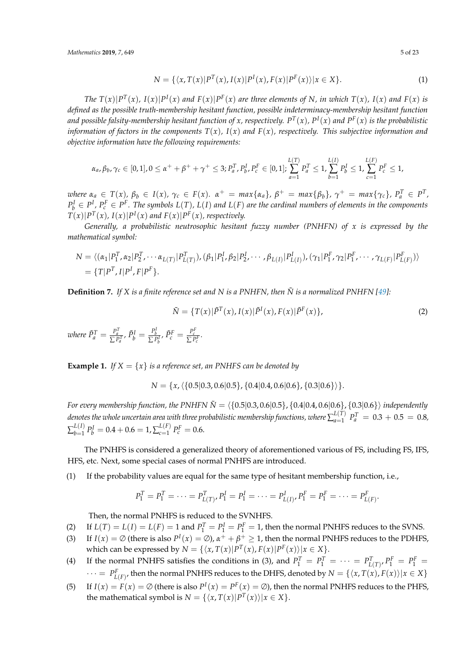$$
N = \{ \langle x, T(x) | P^{T}(x), I(x) | P^{I}(x), F(x) | P^{F}(x) \rangle | x \in X \}.
$$
\n(1)

The  $T(x)|P^{T}(x)$ ,  $I(x)|P^{I}(x)$  and  $F(x)|P^{F}(x)$  are three elements of N, in which  $T(x)$ ,  $I(x)$  and  $F(x)$  is *defined as the possible truth-membership hesitant function, possible indeterminacy-membership hesitant function* and possible falsity-membership hesitant function of *x*, respectively.  $P^T(x)$ ,  $P^I(x)$  and  $P^F(x)$  is the probabilistic *information of factors in the components*  $T(x)$ ,  $I(x)$  and  $F(x)$ , respectively. This subjective information and *objective information have the following requirements:*

$$
\alpha_a, \beta_b, \gamma_c \in [0,1], 0 \leq \alpha^+ + \beta^+ + \gamma^+ \leq 3; P_a^T, P_b^I, P_c^F \in [0,1]; \sum_{a=1}^{L(T)} P_a^T \leq 1, \sum_{b=1}^{L(I)} P_b^I \leq 1, \sum_{c=1}^{L(F)} P_c^F \leq 1,
$$

where  $\alpha_a \in T(x)$ ,  $\beta_b \in I(x)$ ,  $\gamma_c \in F(x)$ .  $\alpha^+ = max\{\alpha_a\}$ ,  $\beta^+ = max\{\beta_b\}$ ,  $\gamma^+ = max\{\gamma_c\}$ ,  $P_a^T \in P^T$ ,  $P_b^I \in P^I$ ,  $P_c^F \in P^F$ . The symbols  $L(T)$ ,  $L(I)$  and  $L(F)$  are the cardinal numbers of elements in the components  $T(x)|P^{T}(x)$ ,  $I(x)|P^{I}(x)$  and  $F(x)|P^{F}(x)$ , respectively.

*Generally, a probabilistic neutrosophic hesitant fuzzy number (PNHFN) of x is expressed by the mathematical symbol:*

$$
N = \langle (\alpha_1 | P_1^T, \alpha_2 | P_2^T, \cdots \alpha_{L(T)} | P_{L(T)}^T), (\beta_1 | P_1^I, \beta_2 | P_2^I, \cdots, \beta_{L(T)} | P_{L(T)}^I), (\gamma_1 | P_1^F, \gamma_2 | P_1^F, \cdots, \gamma_{L(F)} | P_{L(F)}^F) \rangle
$$
  
= {T|P<sup>T</sup>, I|P<sup>I</sup>, F|P<sup>F</sup>}.

**Definition 7.** If X is a finite reference set and N is a PNHFN, then  $\tilde{N}$  is a normalized PNHFN [[49\]](#page-22-2):

$$
\tilde{N} = \{T(x)|\tilde{P}^T(x), I(x)|\tilde{P}^I(x), F(x)|\tilde{P}^F(x)\},\tag{2}
$$

where  $\tilde{P}_a^T = \frac{P_a^T}{\sum P_a^T}$ ,  $\tilde{P}_b^I = \frac{P_b^I}{\sum P_b^I}$ ,  $\tilde{P}_c^F = \frac{P_c^F}{\sum P_c^F}$ .

**Example 1.** *If*  $X = \{x\}$  *is a reference set, an PNHFS can be denoted by* 

$$
N = \{x, \langle \{0.5|0.3, 0.6|0.5\}, \{0.4|0.4, 0.6|0.6\}, \{0.3|0.6\} \rangle\}.
$$

*For every membership function, the PNHFN*  $\tilde{N} = \{0.5|0.3, 0.6|0.5\}$ ,  $\{0.4|0.4, 0.6|0.6\}$ ,  $\{0.3|0.6\}$  *independently* denotes the whole uncertain area with three probabilistic membership functions, where  $\sum_{a=1}^{L(T)}$  $P_{a=1}^{L(1)}$   $P_a^T = 0.3 + 0.5 = 0.8$  $\sum_{h=1}^{L(I)}$  $\frac{L(I)}{b=1}P_b^I=0.4+0.6=1, \sum_{c=1}^{L(F)}$  $L(t)$   $P_c^F = 0.6$ .

The PNHFS is considered a generalized theory of aforementioned various of FS, including FS, IFS, HFS, etc. Next, some special cases of normal PNHFS are introduced.

(1) If the probability values are equal for the same type of hesitant membership function, i.e.,

$$
P_1^T = P_1^T = \cdots = P_{L(T)}^T, P_1^I = P_1^I = \cdots = P_{L(I)}^I, P_1^F = P_1^F = \cdots = P_{L(F)}^F.
$$

Then, the normal PNHFS is reduced to the SVNHFS.

- (2) If  $L(T) = L(I) = L(F) = 1$  and  $P_1^T = P_1^I = P_1^F = 1$ , then the normal PNHFS reduces to the SVNS.
- (3) If  $I(x) = \emptyset$  (there is also  $P^I(x) = \emptyset$ ),  $\alpha^+ + \beta^+ \ge 1$ , then the normal PNHFS reduces to the PDHFS, which can be expressed by  $N = \{ \langle x, T(x)|P^T(x), F(x)|P^F(x) \rangle | x \in X \}.$
- (4) If the normal PNHFS satisfies the conditions in (3), and  $P_1^T = P_1^T = \cdots = P_{L(T)}^T, P_1^F = P_1^F = \cdots$  $\cdots = P_{L(F)}^F$ , then the normal PNHFS reduces to the DHFS, denoted by  $N = \{\langle x, T(x), F(x) \rangle | x \in X\}$
- (5) If  $I(x) = F(x) = \emptyset$  (there is also  $P^I(x) = P^F(x) = \emptyset$ ), then the normal PNHFS reduces to the PHFS, the mathematical symbol is  $N = \{ \langle x, T(x)|P^T(x) \rangle | x \in X \}.$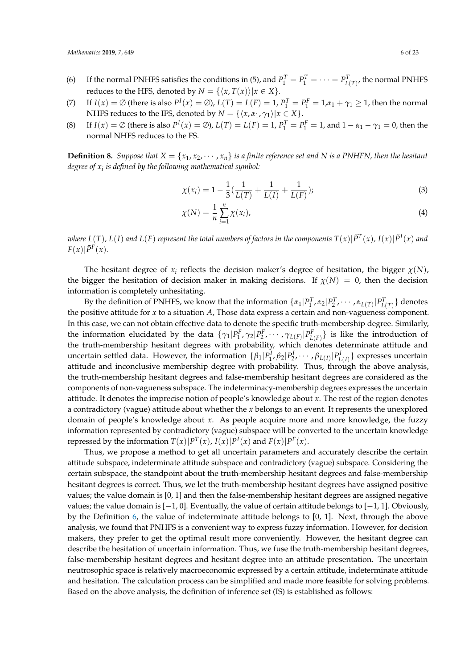- (6) If the normal PNHFS satisfies the conditions in (5), and  $P_1^T = P_1^T = \cdots = P_{L(T)}^T$ , the normal PNHFS reduces to the HFS, denoted by *N* = { $\langle x, T(x) \rangle | x \in X$  }.
- (7) If  $I(x) = \emptyset$  (there is also  $P^I(x) = \emptyset$ ),  $L(T) = L(F) = 1$ ,  $P_1^T = P_1^F = 1$ ,  $\alpha_1 + \gamma_1 \ge 1$ , then the normal NHFS reduces to the IFS, denoted by *N* = { $\langle x, \alpha_1, \gamma_1 \rangle | x \in X$  }.
- (8) If  $I(x) = \emptyset$  (there is also  $P^I(x) = \emptyset$ ),  $L(T) = L(F) = 1$ ,  $P_1^T = P_1^F = 1$ , and  $1 \alpha_1 \gamma_1 = 0$ , then the normal NHFS reduces to the FS.

**Definition 8.** *Suppose that*  $X = \{x_1, x_2, \dots, x_n\}$  *is a finite reference set and* N *is a PNHFN, then the hesitant degree of x<sup>i</sup> is defined by the following mathematical symbol:*

$$
\chi(x_i) = 1 - \frac{1}{3} \left( \frac{1}{L(T)} + \frac{1}{L(I)} + \frac{1}{L(F)} \right); \tag{3}
$$

$$
\chi(N) = \frac{1}{n} \sum_{i=1}^{n} \chi(x_i),\tag{4}
$$

where  $L(T)$  ,  $L(I)$  and  $L(F)$  represent the total numbers of factors in the components  $T(x)|\tilde{P}^T(x)$  ,  $I(x)|\tilde{P}^I(x)$  and  $F(x)|\tilde{P}^F(x)$ .

The hesitant degree of  $x_i$  reflects the decision maker's degree of hesitation, the bigger  $\chi(N)$ , the bigger the hesitation of decision maker in making decisions. If  $\chi(N) = 0$ , then the decision information is completely unhesitating.

By the definition of PNHFS, we know that the information  $\{\alpha_1|P_1^T,\alpha_2|P_2^T,\cdots,\alpha_{L(T)}|P_{L(T)}^T\}$  denotes the positive attitude for *x* to a situation *A*, Those data express a certain and non-vagueness component. In this case, we can not obtain effective data to denote the specific truth-membership degree. Similarly, the information elucidated by the data  $\{\gamma_1|P_1^F,\gamma_2|P_2^F,\cdots,\gamma_{L(F)}|P_{L(F)}^F\}$  is like the introduction of the truth-membership hesitant degrees with probability, which denotes determinate attitude and uncertain settled data. However, the information  $\{\beta_1|P_1^I,\beta_2|P_2^I,\cdots,\beta_{L(I)}|P_{L(I)}^I\}$  expresses uncertain attitude and inconclusive membership degree with probability. Thus, through the above analysis, the truth-membership hesitant degrees and false-membership hesitant degrees are considered as the components of non-vagueness subspace. The indeterminacy-membership degrees expresses the uncertain attitude. It denotes the imprecise notion of people's knowledge about *x*. The rest of the region denotes a contradictory (vague) attitude about whether the *x* belongs to an event. It represents the unexplored domain of people's knowledge about *x*. As people acquire more and more knowledge, the fuzzy information represented by contradictory (vague) subspace will be converted to the uncertain knowledge repressed by the information  $T(x)|P^T(x)$ ,  $I(x)|P^I(x)$  and  $F(x)|P^F(x)$ .

Thus, we propose a method to get all uncertain parameters and accurately describe the certain attitude subspace, indeterminate attitude subspace and contradictory (vague) subspace. Considering the certain subspace, the standpoint about the truth-membership hesitant degrees and false-membership hesitant degrees is correct. Thus, we let the truth-membership hesitant degrees have assigned positive values; the value domain is [0, 1] and then the false-membership hesitant degrees are assigned negative values; the value domain is [−1, 0]. Eventually, the value of certain attitude belongs to [−1, 1]. Obviously, by the Definition [6,](#page-3-1) the value of indeterminate attitude belongs to [0, 1]. Next, through the above analysis, we found that PNHFS is a convenient way to express fuzzy information. However, for decision makers, they prefer to get the optimal result more conveniently. However, the hesitant degree can describe the hesitation of uncertain information. Thus, we fuse the truth-membership hesitant degrees, false-membership hesitant degrees and hesitant degree into an attitude presentation. The uncertain neutrosophic space is relatively macroeconomic expressed by a certain attitude, indeterminate attitude and hesitation. The calculation process can be simplified and made more feasible for solving problems. Based on the above analysis, the definition of inference set (IS) is established as follows: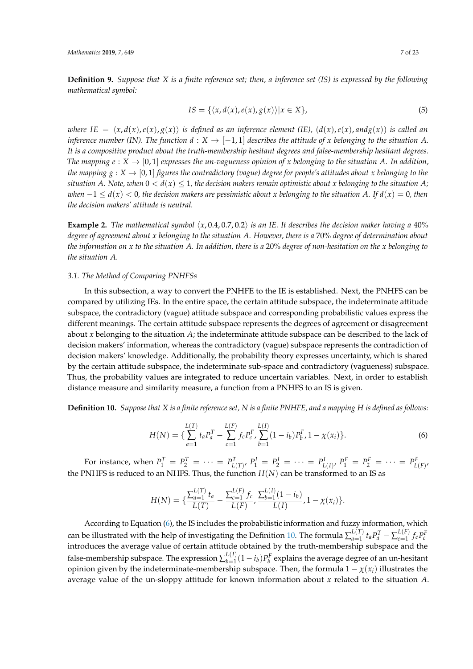<span id="page-6-2"></span>**Definition 9.** *Suppose that X is a finite reference set; then, a inference set (IS) is expressed by the following mathematical symbol:*

$$
IS = \{ \langle x, d(x), e(x), g(x) \rangle | x \in X \},\tag{5}
$$

where IE =  $\langle x, d(x), e(x), g(x) \rangle$  is defined as an inference element (IE),  $(d(x), e(x), and g(x))$  is called an *inference number (IN). The function*  $d : X \to [-1,1]$  *describes the attitude of x belonging to the situation* A. *It is a compositive product about the truth-membership hesitant degrees and false-membership hesitant degrees. The mapping*  $e: X \to [0, 1]$  *expresses the un-vagueness opinion of* x *belonging to the situation* A. In addition, *the mapping*  $g: X \to [0, 1]$  *figures the contradictory (vague) degree for people's attitudes about x belonging to the situation* A. Note, when  $0 < d(x) \leq 1$ , the decision makers remain optimistic about x belonging to the situation A; *when*  $-1 \le d(x) \le 0$ , the decision makers are pessimistic about x belonging to the situation A. If  $d(x) = 0$ , then *the decision makers' attitude is neutral.*

**Example 2.** *The mathematical symbol*  $\langle x, 0.4, 0.7, 0.2 \rangle$  *is an IE. It describes the decision maker having a* 40% *degree of agreement about x belonging to the situation A. However, there is a* 70% *degree of determination about the information on x to the situation A. In addition, there is a* 20% *degree of non-hesitation on the x belonging to the situation A.*

#### *3.1. The Method of Comparing PNHFSs*

In this subsection, a way to convert the PNHFE to the IE is established. Next, the PNHFS can be compared by utilizing IEs. In the entire space, the certain attitude subspace, the indeterminate attitude subspace, the contradictory (vague) attitude subspace and corresponding probabilistic values express the different meanings. The certain attitude subspace represents the degrees of agreement or disagreement about *x* belonging to the situation *A*; the indeterminate attitude subspace can be described to the lack of decision makers' information, whereas the contradictory (vague) subspace represents the contradiction of decision makers' knowledge. Additionally, the probability theory expresses uncertainty, which is shared by the certain attitude subspace, the indeterminate sub-space and contradictory (vagueness) subspace. Thus, the probability values are integrated to reduce uncertain variables. Next, in order to establish distance measure and similarity measure, a function from a PNHFS to an IS is given.

<span id="page-6-1"></span>**Definition 10.** *Suppose that X is a finite reference set, N is a finite PNHFE, and a mapping H is defined as follows:*

<span id="page-6-0"></span>
$$
H(N) = \left\{ \sum_{a=1}^{L(T)} t_a P_a^T - \sum_{c=1}^{L(F)} f_c P_c^F, \sum_{b=1}^{L(I)} (1 - i_b) P_b^F, 1 - \chi(x_i) \right\}.
$$
 (6)

For instance, when  $P_1^T = P_2^T = \cdots = P_{L(T)}^T$ ,  $P_1^I = P_2^I = \cdots = P_{L(I)}^I$ ,  $P_1^F = P_2^F = \cdots = P_{L(F)}^F$ the PNHFS is reduced to an NHFS. Thus, the function  $H(N)$  can be transformed to an IS as

$$
H(N) = \{ \frac{\sum_{a=1}^{L(T)} t_a}{L(T)} - \frac{\sum_{c=1}^{L(F)} f_c}{L(F)}, \frac{\sum_{b=1}^{L(I)} (1 - i_b)}{L(I)}, 1 - \chi(x_i) \}.
$$

According to Equation [\(6\)](#page-6-0), the IS includes the probabilistic information and fuzzy information, which can be illustrated with the help of investigating the Definition [10.](#page-6-1) The formula  $\sum_{a=1}^{L(T)}$  $L(T)$   $t_a P_a^T - \sum_{c=1}^{L(F)}$  $f_c P_c^F$ introduces the average value of certain attitude obtained by the truth-membership subspace and the false-membership subspace. The expression  $\sum_{b=1}^{L(I)}$  $\frac{L(I)}{b=1}(1-i_b)P_b^F$  explains the average degree of an un-hesitant opinion given by the indeterminate-membership subspace. Then, the formula  $1 - \chi(x_i)$  illustrates the average value of the un-sloppy attitude for known information about *x* related to the situation *A*.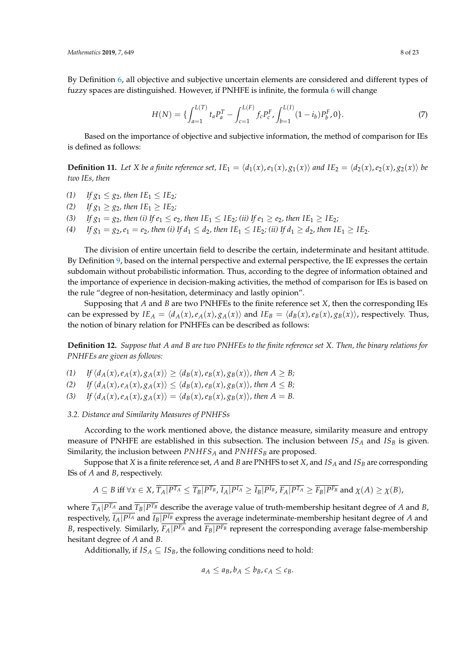By Definition [6,](#page-6-0) all objective and subjective uncertain elements are considered and different types of fuzzy spaces are distinguished. However, if PNHFE is infinite, the formula [6](#page-6-0) will change

$$
H(N) = \{ \int_{a=1}^{L(T)} t_a P_a^T - \int_{c=1}^{L(F)} f_c P_c^F, \int_{b=1}^{L(I)} (1 - i_b) P_b^F, 0 \}.
$$
 (7)

Based on the importance of objective and subjective information, the method of comparison for IEs is defined as follows:

**Definition 11.** Let X be a finite reference set,  $IE_1 = \langle d_1(x), e_1(x), g_1(x) \rangle$  and  $IE_2 = \langle d_2(x), e_2(x), g_2(x) \rangle$  be *two IEs, then*

- *(1) If*  $g_1 \leq g_2$ *, then*  $IE_1 \leq IE_2$ *;*
- *(2) If*  $g_1 > g_2$ , then  $IE_1 > IE_2$ ;
- (3) *If*  $g_1 = g_2$ *, then (i) If*  $e_1 \leq e_2$ *, then IE*<sub>1</sub>  $\leq$  *IE*<sub>2</sub>*; (ii) If*  $e_1 \geq e_2$ *, then IE*<sub>1</sub>  $\geq$  *IE*<sub>2</sub>*;*
- *(4) If*  $g_1 = g_2, e_1 = e_2$ , then *(i) If*  $d_1 \leq d_2$ , then  $IE_1 \leq IE_2$ ; *(ii) If*  $d_1 \geq d_2$ , then  $IE_1 \geq IE_2$ .

The division of entire uncertain field to describe the certain, indeterminate and hesitant attitude. By Definition [9,](#page-6-2) based on the internal perspective and external perspective, the IE expresses the certain subdomain without probabilistic information. Thus, according to the degree of information obtained and the importance of experience in decision-making activities, the method of comparison for IEs is based on the rule "degree of non-hesitation, determinacy and lastly opinion".

Supposing that *A* and *B* are two PNHFEs to the finite reference set *X*, then the corresponding IEs can be expressed by  $IE_A = \langle d_A(x), e_A(x), g_A(x) \rangle$  and  $IE_B = \langle d_B(x), e_B(x), g_B(x) \rangle$ , respectively. Thus, the notion of binary relation for PNHFEs can be described as follows:

**Definition 12.** *Suppose that A and B are two PNHFEs to the finite reference set X. Then, the binary relations for PNHFEs are given as follows:*

- (1) If  $\langle d_A(x), e_A(x), g_A(x) \rangle \ge \langle d_B(x), e_B(x), g_B(x) \rangle$ , then  $A \ge B$ ;
- (2) *If*  $\langle d_A(x), e_A(x), g_A(x) \rangle \leq \langle d_B(x), e_B(x), g_B(x) \rangle$ , then  $A \leq B$ ;
- (3) If  $\langle d_A(x), e_A(x), g_A(x) \rangle = \langle d_B(x), e_B(x), g_B(x) \rangle$ , then  $A = B$ .

#### <span id="page-7-0"></span>*3.2. Distance and Similarity Measures of PNHFSs*

According to the work mentioned above, the distance measure, similarity measure and entropy measure of PNHFE are established in this subsection. The inclusion between  $IS_A$  and  $IS_B$  is given. Similarity, the inclusion between  $PNHFS_A$  and  $PNHFS_B$  are proposed.

Suppose that *X* is a finite reference set, *A* and *B* are PNHFS to set *X*, and *IS<sup>A</sup>* and *IS<sup>B</sup>* are corresponding ISs of *A* and *B*, respectively.

$$
A \subseteq B \text{ iff } \forall x \in X, \overline{T_A | P^{T_A}} \leq \overline{T_B | P^{T_B}}, \overline{I_A | P^{I_A}} \geq \overline{I_B | P^{I_B}}, \overline{F_A | P^{T_A}} \geq \overline{F_B | P^{F_B}} \text{ and } \chi(A) \geq \chi(B),
$$

where  $\overline{T_A|P^{T_A}}$  and  $\overline{T_B|P^{T_B}}$  describe the average value of truth-membership hesitant degree of *A* and *B*, respectively,  $\overline{I_A|P^{I_A}}$  and  $\overline{I_B|P^{I_B}}$  express the average indeterminate-membership hesitant degree of *A* and *B*, respectively. Similarly,  $\overline{F_A|P^{F_A}}$  and  $\overline{F_B|P^{F_B}}$  represent the corresponding average false-membership hesitant degree of *A* and *B*.

Additionally, if  $IS_A \subseteq IS_B$ , the following conditions need to hold:

$$
a_A \le a_B, b_A \le b_B, c_A \le c_B.
$$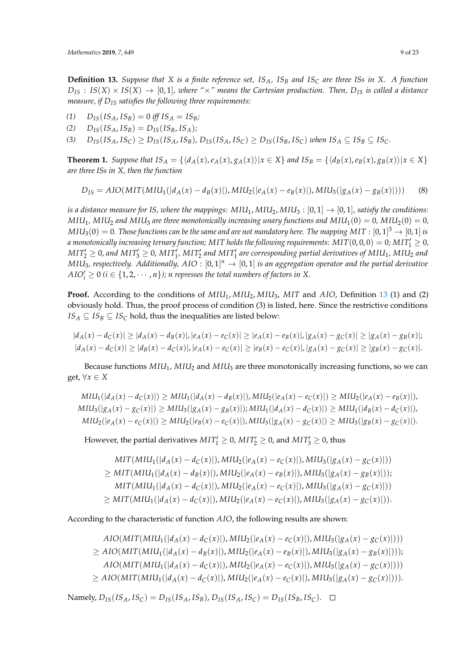<span id="page-8-0"></span>**Definition 13.** *Suppose that X is a finite reference set, ISA, IS<sup>B</sup> and IS<sup>C</sup> are three ISs in X. A function*  $D_{IS}$  :  $IS(X) \times IS(X) \rightarrow [0,1]$ *, where "* $\times$ " means the Cartesian production. Then,  $D_{IS}$  is called a distance *measure, if DIS satisfies the following three requirements:*

- $(D_{IS}(IS_A, IS_B) = 0$  *iff*  $IS_A = IS_B$ ;
- $(D_{IS}(IS_A, IS_B) = D_{IS}(IS_B, IS_A);$

(3)  $D_{IS}(IS_A, IS_C) \ge D_{IS}(IS_A, IS_B), D_{IS}(IS_A, IS_C) \ge D_{IS}(IS_B, IS_C)$  when  $IS_A \subseteq IS_B \subseteq IS_C$ .

<span id="page-8-1"></span>**Theorem 1.** Suppose that  $IS_A = \{ \langle d_A(x), e_A(x), g_A(x) \rangle | x \in X \}$  and  $IS_B = \{ \langle d_B(x), e_B(x), g_B(x) \rangle | x \in X \}$ *are three ISs in X, then the function*

$$
D_{IS} = AIO(MIT(MIII_1(|d_A(x) - d_B(x)|), MIU_2(|e_A(x) - e_B(x)|), MIU_3(|g_A(x) - g_B(x)|)))
$$
(8)

*is a distance measure for IS, where the mappings: MIU*<sub>1</sub>, *MIU*<sub>2</sub>, *MIU*<sub>3</sub> : [0, 1]  $\rightarrow$  [0, 1], *satisfy the conditions:*  $MIU_1$ ,  $MIU_2$  and  $MIU_3$  are three monotonically increasing unary functions and  $MIU_1(0) = 0$ ,  $MIU_2(0) = 0$ ,  $MIU_3(0)=0.$  *Those functions can be the same and are not mandatory here. The mapping*  $MIT:[0,1]^3\rightarrow[0,1]$  *is a* monotonically increasing ternary function; MIT holds the following requirements:  $MIT(0,0,0) = 0; MIT'_1 \geq 0$ ,  $M$ IT $_2' \ge 0$ , and  $M$ IT $_3' \ge 0$ ,  $M$ IT $_1'$ ,  $M$ IT $_2'$  and  $M$ IT $_1'$  are corresponding partial derivatives of  $M$ IU $_1$ ,  $M$ IU $_2$  and MIU<sub>3</sub>, respectively. Additionally, AIO :  $[0,1]^n \to [0,1]$  is an aggregation operator and the partial derivative  $AIO'_i \geq 0$  ( $i \in \{1, 2, \cdots, n\}$ ); n represses the total numbers of factors in X.

**Proof.** According to the conditions of *MIU*1, *MIU*2, *MIU*3, *MIT* and *AIO*, Definition [13](#page-8-0) (1) and (2) obviously hold. Thus, the proof process of condition (3) is listed, here. Since the restrictive conditions *IS*<sup>*A*</sup> ⊆ *IS*<sup>*B*</sup> ⊆ *IS*<sup>*C*</sup> hold, thus the inequalities are listed below:

$$
|d_A(x) - d_C(x)| \ge |d_A(x) - d_B(x)|, |e_A(x) - e_C(x)| \ge |e_A(x) - e_B(x)|, |g_A(x) - g_C(x)| \ge |g_A(x) - g_B(x)|;
$$
  

$$
|d_A(x) - d_C(x)| \ge |d_B(x) - d_C(x)|, |e_A(x) - e_C(x)| \ge |e_B(x) - e_C(x)|, |g_A(x) - g_C(x)| \ge |g_B(x) - g_C(x)|.
$$

Because functions *MIU*1, *MIU*<sup>2</sup> and *MIU*<sup>3</sup> are three monotonically increasing functions, so we can get, ∀*x* ∈ *X*

$$
MIU_1(|d_A(x) - d_C(x)|) \geq MIU_1(|d_A(x) - d_B(x)|), MIU_2(|e_A(x) - e_C(x)|) \geq MIU_2(|e_A(x) - e_B(x)|),
$$
  
\n
$$
MIU_3(|g_A(x) - g_C(x)|) \geq MIU_3(|g_A(x) - g_B(x)|); MIU_1(|d_A(x) - d_C(x)|) \geq MIU_1(|d_B(x) - d_C(x)|),
$$
  
\n
$$
MIU_2(|e_A(x) - e_C(x)|) \geq MIU_2(|e_B(x) - e_C(x)|), MIU_3(|g_A(x) - g_C(x)|) \geq MIU_3(|g_B(x) - g_C(x)|).
$$

However, the partial derivatives  $MIT'_1 \geq 0$ ,  $MIT'_2 \geq 0$ , and  $MIT'_3 \geq 0$ , thus

$$
MIT(MIU_1(|d_A(x) - d_C(x)|), MIU_2(|e_A(x) - e_C(x)|), MIU_3(|g_A(x) - g_C(x)|))
$$
  
\n
$$
\geq MIT(MIU_1(|d_A(x) - d_B(x)|), MIU_2(|e_A(x) - e_B(x)|), MIU_3(|g_A(x) - g_B(x)|));
$$
  
\n
$$
MIT(MIU_1(|d_A(x) - d_C(x)|), MIU_2(|e_A(x) - e_C(x)|), MIU_3(|g_A(x) - g_C(x)|))
$$
  
\n
$$
\geq MIT(MIU_1(|d_A(x) - d_C(x)|), MIU_2(|e_A(x) - e_C(x)|), MIU_3(|g_A(x) - g_C(x)|)).
$$

According to the characteristic of function *AIO*, the following results are shown:

$$
AIO(MIT(MIU_1(|d_A(x) - d_C(x)|), MIU_2(|e_A(x) - e_C(x)|), MIU_3(|g_A(x) - g_C(x)|)))
$$
  
\n
$$
\geq AIO(MIT(MIU_1(|d_A(x) - d_B(x)|), MIU_2(|e_A(x) - e_B(x)|), MIU_3(|g_A(x) - g_B(x)|)))
$$
  
\n
$$
AIO(MIT(MIU_1(|d_A(x) - d_C(x)|), MIU_2(|e_A(x) - e_C(x)|), MIU_3(|g_A(x) - g_C(x)|)))
$$
  
\n
$$
\geq AIO(MIT(MIU_1(|d_A(x) - d_C(x)|), MIU_2(|e_A(x) - e_C(x)|), MIU_3(|g_A(x) - g_C(x)|)))
$$

Namely,  $D_{IS}(IS_A, IS_C) = D_{IS}(IS_A, IS_B)$ ,  $D_{IS}(IS_A, IS_C) = D_{IS}(IS_B, IS_C)$ .  $\Box$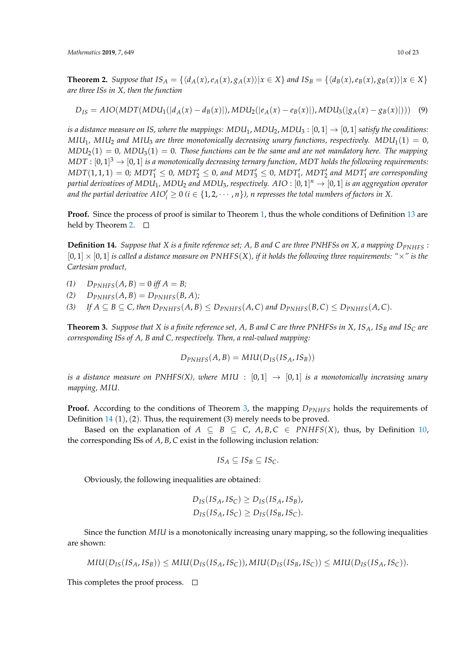<span id="page-9-0"></span>**Theorem 2.** Suppose that  $IS_A = \{ \langle d_A(x), e_A(x), g_A(x) \rangle | x \in X \}$  and  $IS_B = \{ \langle d_B(x), e_B(x), g_B(x) \rangle | x \in X \}$ *are three ISs in X, then the function*

$$
D_{IS} = AIO(MDT(MDU1(|dA(x) - dB(x)|), MDU2(|eA(x) - eB(x)|), MDU3(|gA(x) - gB(x)|)))
$$
 (9)

*is a distance measure on IS, where the mappings: MDU*<sub>1</sub>, *MDU*<sub>2</sub>, *MDU*<sub>3</sub> : [0,1]  $\rightarrow$  [0,1] *satisfy the conditions:*  $MIU_1$ ,  $MIU_2$  and  $MIU_3$  are three monotonically decreasing unary functions, respectively.  $MDU_1(1) = 0$ ,  $MDU<sub>2</sub>(1) = 0$ ,  $MDU<sub>3</sub>(1) = 0$ . Those functions can be the same and are not mandatory here. The mapping  $MDT:[0,1]^3\rightarrow[0,1]$  is a monotonically decreasing ternary function, MDT holds the following requirements:  $MDT(1, 1, 1) = 0$ ;  $MDT'_1 \le 0$ ,  $MDT'_2 \le 0$ , and  $MDT'_3 \le 0$ ,  $MDT'_1$ ,  $MDT'_2$  and  $MDT'_1$  are corresponding partial derivatives of MDU<sub>1</sub>, MDU<sub>2</sub> and MDU<sub>3</sub>, respectively.  $AIO:[0,1]^n \to [0,1]$  is an aggregation operator and the partial derivative AIO $'_i \geq 0$  ( $i \in \{1, 2, \cdots, n\}$ ), n represses the total numbers of factors in X.

**Proof.** Since the process of proof is similar to Theorem [1,](#page-8-1) thus the whole conditions of Definition [13](#page-8-0) are held by Theorem [2.](#page-9-0) □

<span id="page-9-2"></span>**Definition 14.** *Suppose that X is a finite reference set; A, B and C are three PNHFSs on X, a mapping DPNHFS* :  $[0, 1] \times [0, 1]$  *is called a distance measure on PNHFS(X), if it holds the following three requirements: "* $\times$ *" is the Cartesian product,*

 $(D_{PNHFS}(A, B) = 0$  *iff*  $A = B$ ;

 $(D_{PNHFS}(A, B) = D_{PNHFS}(B, A);$ 

*(3) If*  $A \subseteq B \subseteq C$ , then  $D_{PMHS}(A, B) \le D_{PMHFS}(A, C)$  and  $D_{PMHFS}(B, C) \le D_{PMHFS}(A, C)$ .

<span id="page-9-1"></span>**Theorem 3.** Suppose that X is a finite reference set, A, B and C are three PNHFSs in X,  $IS_A$ ,  $IS_B$  and  $IS_C$  are *corresponding ISs of A, B and C, respectively. Then, a real-valued mapping:*

$$
D_{PNHFS}(A, B) = MIU(D_{IS}(IS_A, IS_B))
$$

*is a distance measure on PNHFS(X), where MIU* :  $[0,1] \rightarrow [0,1]$  *is a monotonically increasing unary mapping, MIU.*

**Proof.** According to the conditions of Theorem [3,](#page-9-1) the mapping  $D_{PMHFS}$  holds the requirements of Definition  $14$   $(1)$ ,  $(2)$ . Thus, the requirement  $(3)$  merely needs to be proved.

Based on the explanation of  $A \subseteq B \subseteq C$ ,  $A, B, C \in PMIFS(X)$ , thus, by Definition [10,](#page-6-1) the corresponding ISs of *A*, *B*, *C* exist in the following inclusion relation:

$$
IS_A \subseteq IS_B \subseteq IS_C.
$$

Obviously, the following inequalities are obtained:

$$
D_{IS}(IS_A, IS_C) \ge D_{IS}(IS_A, IS_B),
$$
  

$$
D_{IS}(IS_A, IS_C) \ge D_{IS}(IS_B, IS_C).
$$

Since the function *MIU* is a monotonically increasing unary mapping, so the following inequalities are shown:

$$
MIU(D_{IS}(IS_A, IS_B)) \leq MIU(D_{IS}(IS_A, IS_C)), MIU(D_{IS}(IS_B, IS_C)) \leq MIU(D_{IS}(IS_A, IS_C)).
$$

This completes the proof process.  $\Box$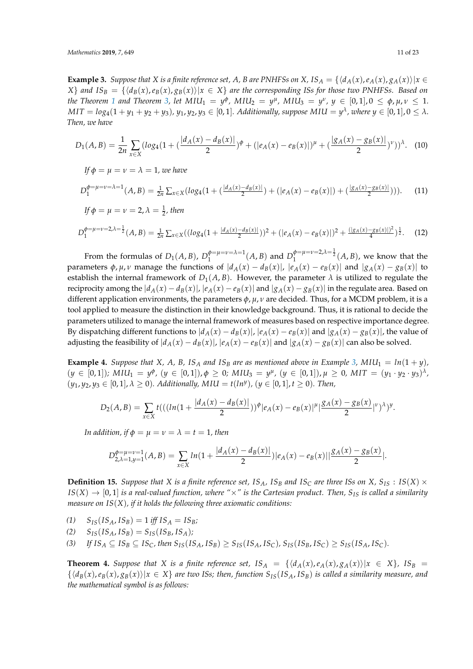<span id="page-10-0"></span>**Example 3.** Suppose that X is a finite reference set, A, B are PNHFSs on X,  $IS_A = {\langle d_A(x), e_A(x), g_A(x) \rangle | x \in \mathbb{R}^3}$ *X*} and  $IS_B = \{\langle d_B(x), e_B(x), g_B(x)\rangle | x \in X\}$  are the corresponding ISs for those two PNHFSs. Based on the Theorem [1](#page-8-1) and Theorem [3,](#page-9-1) let  $MIU_1 = y^{\phi}$ ,  $MIU_2 = y^{\mu}$ ,  $MIU_3 = y^{\nu}$ ,  $y \in [0,1]$ ,  $0 \leq \phi$ ,  $\mu, \nu \leq 1$ .  $MIT = log_4(1 + y_1 + y_2 + y_3)$ ,  $y_1, y_2, y_3 \in [0, 1]$ . Additionally, suppose MIU =  $y^{\lambda}$ , where  $y \in [0, 1]$ ,  $0 \leq \lambda$ . *Then, we have*

$$
D_1(A,B) = \frac{1}{2n} \sum_{x \in X} (log_4(1 + (\frac{|d_A(x) - d_B(x)|}{2})^{\phi} + (|e_A(x) - e_B(x)|)^{\mu} + (\frac{|g_A(x) - g_B(x)|}{2})^{\nu}))^{\lambda}. \tag{10}
$$

<span id="page-10-1"></span>If 
$$
\phi = \mu = \nu = \lambda = 1
$$
, we have

$$
D_1^{\phi=\mu=\nu=\lambda=1}(A,B)=\frac{1}{2n}\sum_{x\in X}(log_4(1+(\frac{|d_A(x)-d_B(x)|}{2})+(|e_A(x)-e_B(x)|)+(\frac{|g_A(x)-g_B(x)|}{2}))).\tag{11}
$$

$$
If \phi = \mu = \nu = 2, \lambda = \frac{1}{2}, then
$$

$$
D_1^{\phi=\mu=\nu=2,\lambda=\frac{1}{2}}(A,B)=\frac{1}{2n}\sum_{x\in X}((\log_4(1+\frac{|d_A(x)-d_B(x)|}{2}))^2+(\left|e_A(x)-e_B(x)\right|)^2+\frac{(|g_A(x)-g_B(x)|)^2}{4})^{\frac{1}{2}}.
$$
 (12)

From the formulas of  $D_1(A, B)$ ,  $D_1^{\phi=\mu=\nu=\lambda=1}$  $\int_{1}^{\phi=\mu=\nu=\lambda=1}(A,B)$  and  $D_{1}^{\phi=\mu=\nu=2,\lambda=\frac{1}{2}}(A,B)$ , we know that the parameters  $\phi$ ,  $\mu$ ,  $\nu$  manage the functions of  $|d_A(x) - d_B(x)|$ ,  $|e_A(x) - e_B(x)|$  and  $|g_A(x) - g_B(x)|$  to establish the internal framework of  $D_1(A, B)$ . However, the parameter  $\lambda$  is utilized to regulate the reciprocity among the  $|d_A(x) - d_B(x)|$ ,  $|e_A(x) - e_B(x)|$  and  $|g_A(x) - g_B(x)|$  in the regulate area. Based on different application environments, the parameters *φ*, *µ*, *ν* are decided. Thus, for a MCDM problem, it is a tool applied to measure the distinction in their knowledge background. Thus, it is rational to decide the parameters utilized to manage the internal framework of measures based on respective importance degree. By dispatching different functions to  $|d_A(x) - d_B(x)|$ ,  $|e_A(x) - e_B(x)|$  and  $|g_A(x) - g_B(x)|$ , the value of adjusting the feasibility of  $|d_A(x) - d_B(x)|$ ,  $|e_A(x) - e_B(x)|$  and  $|g_A(x) - g_B(x)|$  can also be solved.

**Example 4.** *Suppose that X, A, B, IS<sub><i>A*</sub> and *IS<sub>B</sub>* are as mentioned above in Example [3,](#page-10-0) MIU<sub>1</sub> =  $ln(1 + y)$ ,  $(y \in [0,1])$ ; MIU<sub>1</sub> =  $y^{\phi}$ ,  $(y \in [0,1])$ ,  $\phi \geq 0$ ; MIU<sub>3</sub> =  $y^{\mu}$ ,  $(y \in [0,1])$ ,  $\mu \geq 0$ , MIT =  $(y_1 \cdot y_2 \cdot y_3)^{\lambda}$ ,  $(y_1, y_2, y_3 \in [0, 1], \lambda \ge 0)$ *. Additionally, MIU* =  $t(ln^y)$ *,*  $(y \in [0, 1], t \ge 0)$ *. Then,* 

$$
D_2(A,B) = \sum_{x \in X} t(((\ln(1 + \frac{|d_A(x) - d_B(x)|}{2}))^{\phi} |e_A(x) - e_B(x)|^{\mu}) \frac{g_A(x) - g_B(x)}{2} |^{\nu})^{\lambda})^{\mu}.
$$

*In addition, if*  $\phi = \mu = \nu = \lambda = t = 1$ *, then* 

$$
D_{2,\lambda=1,y=1}^{\phi=\mu=\nu=1}(A,B)=\sum_{x\in X}ln(1+\frac{|d_A(x)-d_B(x)|}{2})|e_A(x)-e_B(x)||\frac{g_A(x)-g_B(x)}{2}|.
$$

**Definition 15.** Suppose that X is a finite reference set, IS<sub>A</sub>, IS<sub>B</sub> and IS<sub>C</sub> are three ISs on X, S<sub>IS</sub> : IS(X)  $\times$  $I S(X) \to [0, 1]$  *is a real-valued function, where "* $\times$ " *is the Cartesian product. Then, S<sub>IS</sub> is called a similarity measure on IS*(*X*)*, if it holds the following three axiomatic conditions:*

 $(1)$   $S_{IS}(IS_A, IS_B) = 1$  *iff*  $IS_A = IS_B$ *;* 

 $(S_{IS}(IS_A, IS_B) = S_{IS}(IS_B, IS_A);$ 

(3) If  $IS_A \subseteq IS_B \subseteq IS_C$ , then  $S_{IS}(IS_A, IS_B) \geq S_{IS}(IS_A, IS_C)$ ,  $S_{IS}(IS_B, IS_C) \geq S_{IS}(IS_A, IS_C)$ .

**Theorem 4.** Suppose that X is a finite reference set,  $IS_A = \{ \langle d_A(x), e_A(x), g_A(x) \rangle | x \in X \}$ ,  $IS_B =$  $\{\langle d_B(x), e_B(x), g_B(x)\rangle | x \in X\}$  are two ISs; then, function  $S_{IS}(IS_A, IS_B)$  is called a similarity measure, and *the mathematical symbol is as follows:*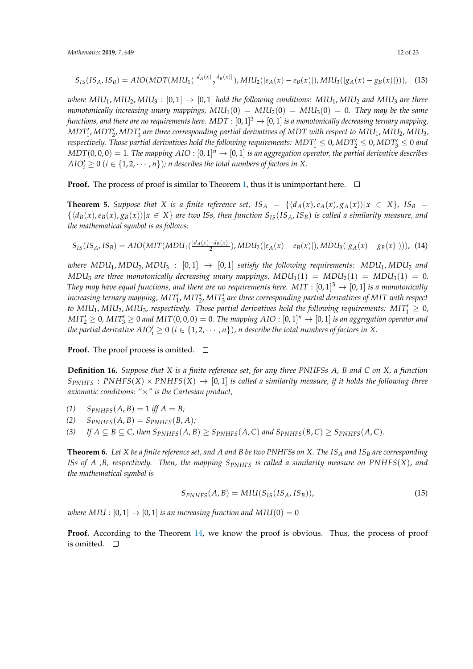$$
S_{IS}(IS_A, IS_B) = AIO(MDT(MIU_1(\frac{|d_A(x) - d_B(x)|}{2}), MIL_2(|e_A(x) - e_B(x)|), MIL_3(|g_A(x) - g_B(x)|))), \quad (13)
$$

*where*  $MIU_1, MIU_2, MIU_3 : [0,1] \rightarrow [0,1]$  *hold the following conditions:*  $MIU_1, MIU_2$  *and*  $MIU_3$  *are three monotonically increasing unary mappings,*  $MIU_1(0) = MIU_2(0) = MIU_3(0) = 0$ . They may be the same functions, and there are no requirements here.  $MDT:[0,1]^3\to[0,1]$  is a monotonically decreasing ternary mapping,  $MDT_1', MDT_2', MDT_3'$  are three corresponding partial derivatives of  $MDT$  with respect to  $MIU_1, MIU_2, MIU_3,$ respectively. Those partial derivatives hold the following requirements:  $MDT_1' \le 0$ ,  $MDT_2' \le 0$ ,  $MDT_3' \le 0$  and  $MDT(0, 0, 0) = 1$ . The mapping  $AIO : [0, 1]^n \to [0, 1]$  is an aggregation operator, the partial derivative describes  $AIO'_i \geq 0$   $(i \in \{1, 2, \cdots, n\})$ ; n describes the total numbers of factors in X.

**Proof.** The process of proof is similar to Theorem [1,](#page-8-1) thus it is unimportant here.  $\Box$ 

<span id="page-11-1"></span>**Theorem 5.** Suppose that X is a finite reference set,  $IS_A = \{ \langle d_A(x), e_A(x), g_A(x) \rangle | x \in X \}$ ,  $IS_B =$  $\{\langle d_B(x), e_B(x), g_B(x)\rangle | x \in X\}$  are two ISs, then function  $S_{IS}(IS_A, IS_B)$  is called a similarity measure, and *the mathematical symbol is as follows:*

$$
S_{IS}(IS_A, IS_B) = AIO(MIT(MDU_1(\frac{|d_A(x) - d_B(x)|}{2}), MDU_2(|e_A(x) - e_B(x)|), MDU_3(|g_A(x) - g_B(x)|))), \quad (14)
$$

*where*  $MDU_1, MDU_2, MDU_3$ :  $[0,1] \rightarrow [0,1]$  *satisfy the following requirements:*  $MDU_1, MDU_2$  *and MDU*<sub>3</sub> *are three monotonically decreasing unary mappings,*  $MDU_1(1) = MDU_2(1) = MDU_3(1) = 0$ *. They may have equal functions, and there are no requirements here.*  $MIT : [0, 1]^3 \rightarrow [0, 1]$  *is a monotonically* increasing ternary mapping,  $MIT_1', MIT_2', MIT_3'$  are three corresponding partial derivatives of MIT with respect *to*  $MIU_1$ ,  $MIU_2$ ,  $MIU_3$ , respectively. Those partial derivatives hold the following requirements:  $MIT'_1 \geq 0$ ,  $MIT_2' \geq 0$ ,  $MIT_3' \geq 0$  and  $MIT(0,0,0) = 0$ . The mapping  $AIO : [0,1]^n \to [0,1]$  is an aggregation operator and *the partial derivative AIO'*<sub>i</sub>  $\geq$  0 ( $i \in$  {1,2, $\cdots$  , n}), n describe the total numbers of factors in X.

**Proof.** The proof process is omitted.  $\Box$ 

<span id="page-11-0"></span>**Definition 16.** *Suppose that X is a finite reference set, for any three PNHFSs A, B and C on X, a function*  $S_{PMHFS}: PNHFS(X) \times PNHFS(X) \rightarrow [0,1]$  *is called a similarity measure, if it holds the following three axiomatic conditions: "*×*" is the Cartesian product,*

- $(1)$  *S*<sub>*PNHFS</sub>* $(A, B) = 1$  *iff*  $A = B$ ;</sub>
- $(S_{PMHFS}(A, B) = S_{PMHFS}(B, A);$
- (3) *If*  $A \subseteq B \subseteq C$ , then  $S_{PMHFS}(A, B) \geq S_{PMHFS}(A, C)$  and  $S_{PMHFS}(B, C) \geq S_{PMHFS}(A, C)$ .

**Theorem 6.** *Let X be a finite reference set, and A and B be two PNHFSs on X. The IS<sup>A</sup> and IS<sup>B</sup> are corresponding ISs of A ,B, respectively. Then, the mapping SPNHFS is called a similarity measure on PNHFS*(*X*)*, and the mathematical symbol is*

$$
S_{PNHFS}(A,B) = MIU(S_{IS}(IS_A, IS_B)),
$$
\n(15)

*where MIU* :  $[0,1] \rightarrow [0,1]$  *is an increasing function and MIU* $(0) = 0$ 

Proof. According to the Theorem [14,](#page-9-2) we know the proof is obvious. Thus, the process of proof is omitted.  $\square$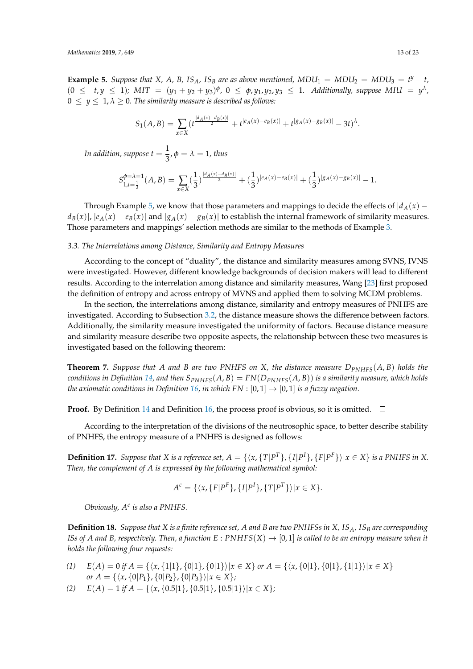<span id="page-12-0"></span>**Example 5.** Suppose that *X*, *A*, *B*, *IS*<sub>*A*</sub>, *IS*<sub>*B*</sub> are as above mentioned,  $MDU_1 = MDU_2 = MDU_3 = t^y - t$ ,  $(0 \le t, y \le 1)$ ;  $MIT = (y_1 + y_2 + y_3)^{\phi}$ ,  $0 \le \phi, y_1, y_2, y_3 \le 1$ . Additionally, suppose MIU =  $y^{\lambda}$ ,  $0 \leq y \leq 1, \lambda \geq 0$ . The similarity measure is described as follows:

$$
S_1(A,B) = \sum_{x \in X} (t^{\frac{|d_A(x) - d_B(x)|}{2}} + t^{|e_A(x) - e_B(x)|} + t^{|g_A(x) - g_B(x)|} - 3t)^{\lambda}.
$$

In addition, suppose  $t=\frac{1}{2}$  $\frac{1}{3}$ ,  $\phi = \lambda = 1$ , thus

$$
S_{1,t=\frac{1}{3}}^{\phi=\lambda=1}(A,B)=\sum_{x\in X}(\frac{1}{3})^{\frac{|d_A(x)-d_B(x)|}{2}}+(\frac{1}{3})^{|e_A(x)-e_B(x)|}+(\frac{1}{3})^{|g_A(x)-g_B(x)|}-1.
$$

Through Example [5,](#page-12-0) we know that those parameters and mappings to decide the effects of  $|d_A(x)$  $d_B(x)$ ,  $|e_A(x) - e_B(x)|$  and  $|g_A(x) - g_B(x)|$  to establish the internal framework of similarity measures. Those parameters and mappings' selection methods are similar to the methods of Example [3.](#page-10-0)

#### *3.3. The Interrelations among Distance, Similarity and Entropy Measures*

According to the concept of "duality", the distance and similarity measures among SVNS, IVNS were investigated. However, different knowledge backgrounds of decision makers will lead to different results. According to the interrelation among distance and similarity measures, Wang [\[23\]](#page-21-0) first proposed the definition of entropy and across entropy of MVNS and applied them to solving MCDM problems.

In the section, the interrelations among distance, similarity and entropy measures of PNHFS are investigated. According to Subsection [3.2,](#page-7-0) the distance measure shows the difference between factors. Additionally, the similarity measure investigated the uniformity of factors. Because distance measure and similarity measure describe two opposite aspects, the relationship between these two measures is investigated based on the following theorem:

**Theorem 7.** *Suppose that A and B are two PNHFS on X, the distance measure DPNHFS*(*A*, *B*) *holds the conditions in Definition* [14,](#page-9-2) and then  $S_{PMHFS}(A, B) = FN(D_{PMHFS}(A, B))$  *is a similarity measure, which holds the axiomatic conditions in Definition* [16,](#page-11-0) *in which*  $FN : [0,1] \rightarrow [0,1]$  *is a fuzzy negation.* 

**Proof.** By Definition [14](#page-9-2) and Definition [16,](#page-11-0) the process proof is obvious, so it is omitted.  $\Box$ 

According to the interpretation of the divisions of the neutrosophic space, to better describe stability of PNHFS, the entropy measure of a PNHFS is designed as follows:

**Definition 17.** Suppose that X is a reference set,  $A = \{\langle x, \{T|P^{T}\}, \{I|P^{I}\}, \{F|P^{F}\}\rangle | x \in X\}$  is a PNHFS in X. *Then, the complement of A is expressed by the following mathematical symbol:*

$$
A^{c} = \{ \langle x, \{F|P^{F}\}, \{I|P^{I}\}, \{T|P^{T}\} \rangle | x \in X \}.
$$

*Obviously, A<sup>c</sup> is also a PNHFS.*

<span id="page-12-1"></span>**Definition 18.** *Suppose that X is a finite reference set, A and B are two PNHFSs in X, ISA, IS<sup>B</sup> are corresponding ISs of A and B, respectively. Then, a function*  $E: PMHFS(X) \to [0,1]$  *is called to be an entropy measure when it holds the following four requests:*

- *(1)*  $E(A) = 0$  *if*  $A = \{\langle x, \{1|1\}, \{0|1\}, \{0|1\}\rangle | x \in X\}$  *or*  $A = \{\langle x, \{0|1\}, \{0|1\}, \{1|1\}\rangle | x \in X\}$ *or*  $A = \{\langle x, \{0|P_1\}, \{0|P_2\}, \{0|P_3\}\rangle | x \in X\};$
- $E(A) = 1$  *if*  $A = \{x, \{0.5|1\}, \{0.5|1\}, \{0.5|1\}\}\|x \in X\};$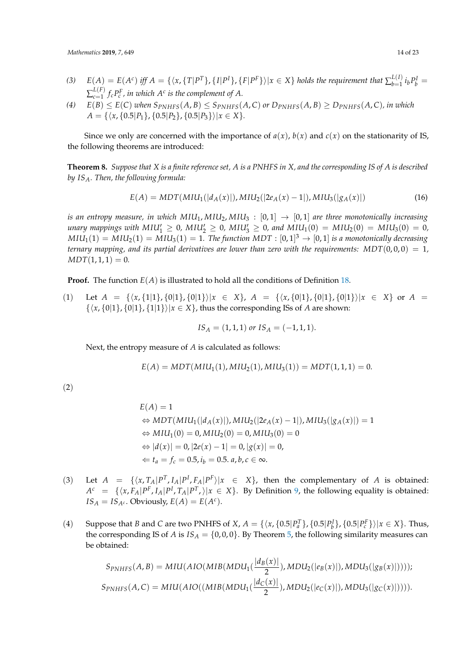- (3)  $E(A) = E(A^c)$  iff  $A = \{ \langle x, \{T | P^T\}, \{I | P^I\}, \{F | P^F\} \rangle | x \in X \}$  holds the requirement that  $\sum_{h=1}^{L(I)}$  $i_b P_b^I =$  $\sum_{c=1}^{L(F)}$  $\int_{c=1}^{L(F)} f_c P_c^F$ , in which  $A^c$  is the complement of A.
- (4)  $E(B) \le E(C)$  when  $S_{PMHFS}(A, B) \le S_{PMHFS}(A, C)$  or  $D_{PMHFS}(A, B) \ge D_{PMHFS}(A, C)$ , in which  $A = \{\langle x, \{0.5|P_1\}, \{0.5|P_2\}, \{0.5|P_3\}\rangle | x \in X\}.$

Since we only are concerned with the importance of  $a(x)$ ,  $b(x)$  and  $c(x)$  on the stationarity of IS, the following theorems are introduced:

<span id="page-13-0"></span>**Theorem 8.** *Suppose that X is a finite reference set, A is a PNHFS in X, and the corresponding IS of A is described by ISA. Then, the following formula:*

$$
E(A) = MDT(MIU_1(|d_A(x)|), MIU_2(|2e_A(x) - 1|), MIU_3(|g_A(x)|))
$$
\n(16)

*is an entropy measure, in which MIU*<sub>1</sub>, *MIU*<sub>2</sub>, *MIU*<sub>3</sub> :  $[0,1] \rightarrow [0,1]$  *are three monotonically increasing*  $u$ nary mappings with  $MIU'_1 \geq 0$ ,  $MIU'_2 \geq 0$ ,  $MIU'_3 \geq 0$ , and  $MIU_1(0) = MIU_2(0) = MIU_3(0) = 0$ ,  $MIU_1(1) = MIU_2(1) = MIU_3(1) = 1$ . The function  $MDT : [0,1]^3 \rightarrow [0,1]$  is a monotonically decreasing *ternary mapping, and its partial derivatives are lower than zero with the requirements:*  $MDT(0, 0, 0) = 1$ ,  $MDT(1, 1, 1) = 0.$ 

**Proof.** The function  $E(A)$  is illustrated to hold all the conditions of Definition [18.](#page-12-1)

(1) Let  $A = \{\langle x, \{1|1\}, \{0|1\}\rangle | x \in X \}$ ,  $A = \{\langle x, \{0|1\}, \{0|1\}\rangle | x \in X \}$  or  $A =$  $\{\langle x, \{0|1\}, \{0|1\}, \{1|1\}\rangle | x \in X\}$ , thus the corresponding ISs of *A* are shown:

<span id="page-13-1"></span>
$$
IS_A = (1, 1, 1) \text{ or } IS_A = (-1, 1, 1).
$$

Next, the entropy measure of *A* is calculated as follows:

$$
E(A) = MDT(MIU_1(1), MIL_2(1), MIL_3(1)) = MDT(1,1,1) = 0.
$$

(2)

$$
E(A) = 1
$$
  
\n
$$
\Leftrightarrow MDT(MIU_1(|d_A(x)|), MIU_2(|2e_A(x) - 1|), MIU_3(|g_A(x)|) = 1
$$
  
\n
$$
\Leftrightarrow MIU_1(0) = 0, MIU_2(0) = 0, MIU_3(0) = 0
$$
  
\n
$$
\Leftrightarrow |d(x)| = 0, |2e(x) - 1| = 0, |g(x)| = 0,
$$
  
\n
$$
\Leftrightarrow t_a = f_c = 0.5, i_b = 0.5, a, b, c \in \infty.
$$

- (3) Let  $A = \{ \langle x, T_A | P^T, I_A | P^I, F_A | P^F \rangle | x \in X \}$ , then the complementary of *A* is obtained:  $A^c = \{ \langle x, F_A | P^F, I_A | P^I, T_A | P^T, \rangle | x \in X \}$ . By Definition [9,](#page-6-2) the following equality is obtained:  $IS_A = IS_{A^c}$ . Obviously,  $E(A) = E(A^c)$ .
- (4) Suppose that *B* and *C* are two PNHFS of *X*, *A* = { $\langle x, \{0.5|P_a^T\}, \{0.5|P_b^T\}, \{0.5|P_c^F\}\rangle | x \in X$  }. Thus, the corresponding IS of *A* is  $IS_A = \{0, 0, 0\}$ . By Theorem [5,](#page-11-1) the following similarity measures can be obtained:

$$
S_{PMHFS}(A,B) = MIU(AIO(MIB(MDU_{1}(\frac{|d_{B}(x)|}{2}), MDU_{2}(|e_{B}(x)|), MDU_{3}(|g_{B}(x)|)))));
$$
  
\n
$$
S_{PMHFS}(A,C) = MIU(AIO((MIB(MDU_{1}(\frac{|d_{C}(x)|}{2}), MDU_{2}(|e_{C}(x)|), MDU_{3}(|g_{C}(x)|))))).
$$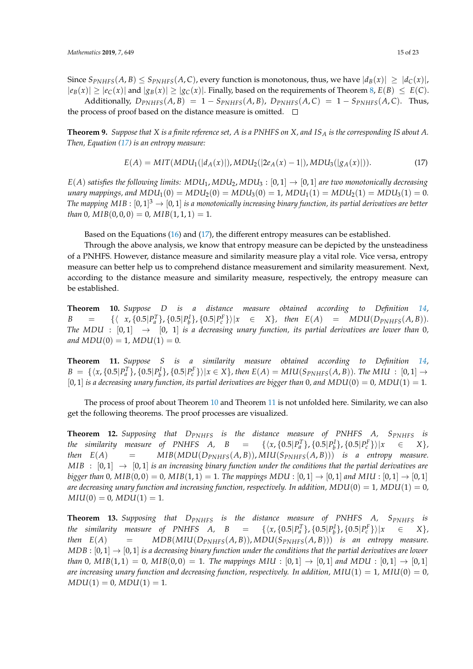Since  $S_{PMHFS}(A, B) \leq S_{PMHFS}(A, C)$ , every function is monotonous, thus, we have  $|d_B(x)| \geq |d_C(x)|$ ,  $|e_B(x)| \ge |e_C(x)|$  and  $|g_B(x)| \ge |g_C(x)|$ . Finally, based on the requirements of Theorem [8,](#page-13-0)  $E(B) \le E(C)$ .

Additionally,  $D_{PMHFS}(A, B) = 1 - S_{PMHFS}(A, B)$ ,  $D_{PMHFS}(A, C) = 1 - S_{PMHFS}(A, C)$ . Thus, the process of proof based on the distance measure is omitted.  $\Box$ 

**Theorem 9.** *Suppose that X is a finite reference set, A is a PNHFS on X, and IS<sup>A</sup> is the corresponding IS about A. Then, Equation [\(17\)](#page-14-0) is an entropy measure:*

<span id="page-14-0"></span>
$$
E(A) = MIT(MDU1(|dA(x)|), MDU2(|2eA(x) - 1|), MDU3(|gA(x)|)).
$$
\n(17)

 $E(A)$  *satisfies the following limits: MDU*<sub>1</sub>, *MDU*<sub>2</sub>, *MDU*<sub>3</sub> : [0, 1]  $\rightarrow$  [0, 1] *are two monotonically decreasing unary mappings, and*  $MDU_1(0) = MDU_2(0) = MDU_3(0) = 1$ ,  $MDU_1(1) = MDU_2(1) = MDU_3(1) = 0$ . The mapping MIB  $:[0,1]^3 \to [0,1]$  is a monotonically increasing binary function, its partial derivatives are better  $than 0, MIB(0, 0, 0) = 0, MIB(1, 1, 1) = 1.$ 

Based on the Equations [\(16\)](#page-13-1) and [\(17\)](#page-14-0), the different entropy measures can be established.

Through the above analysis, we know that entropy measure can be depicted by the unsteadiness of a PNHFS. However, distance measure and similarity measure play a vital role. Vice versa, entropy measure can better help us to comprehend distance measurement and similarity measurement. Next, according to the distance measure and similarity measure, respectively, the entropy measure can be established.

<span id="page-14-1"></span>**Theorem 10.** *Suppose D is a distance measure obtained according to Definition [14,](#page-9-2)*  $B = \{\langle x, \{0.5 | P_a^T\}, \{0.5 | P_b^I\}, \{0.5 | P_c^F\}\rangle | x \in X\}$ , then  $E(A) = MDU(D_{PNHFS}(A, B)).$ *The*  $MDU : [0, 1] \rightarrow [0, 1]$  *is a decreasing unary function, its partial derivatives are lower than* 0*, and*  $MDU(0) = 1$ ,  $MDU(1) = 0$ .

<span id="page-14-2"></span>**Theorem 11.** *Suppose S is a similarity measure obtained according to Definition [14,](#page-9-2)*  $B = \{\langle x, \{0.5 | P_a^T\}, \{0.5 | P_b^I\}, \{0.5 | P_c^F\}\rangle | x \in X\},\$ then  $E(A) = MIU(S_{PNHFS}(A, B))$ . The MIU :  $[0,1] \rightarrow$  $[0, 1]$  *is a decreasing unary function, its partial derivatives are bigger than* 0*, and MDU*(0) = 0*, MDU*(1) = 1.

The process of proof about Theorem [10](#page-14-1) and Theorem [11](#page-14-2) is not unfolded here. Similarity, we can also get the following theorems. The proof processes are visualized.

**Theorem 12.** *Supposing that DPNHFS is the distance measure of PNHFS A, SPNHFS is the similarity measure of PNHFS <i>A*, *B* = { $\langle x, \{0.5|P_a^T\}, \{0.5|P_b^T\}, \{0.5|P_c^F\}\rangle |x \in X$ }, *then*  $E(A)$  =  $MIB(MDU(D_{PMHFS}(A,B)), MIU(S_{PMHFS}(A,B)))$  *is a entropy measure.*  $MIB$  :  $[0,1] \rightarrow [0,1]$  *is an increasing binary function under the conditions that the partial derivatives are bigger than* 0*,*  $MIB(0,0) = 0$ *,*  $MIB(1,1) = 1$ *. The mappings*  $MDU : [0,1] \rightarrow [0,1]$  *and*  $MIU : [0,1] \rightarrow [0,1]$ *are decreasing unary function and increasing function, respectively. In addition, MDU*(0) = 1*, MDU*(1) = 0*,*  $MIU(0) = 0, MDU(1) = 1.$ 

**Theorem 13.** *Supposing that DPNHFS is the distance measure of PNHFS A, SPNHFS is the similarity measure of PNHFS <i>A*, *B* = { $\langle x, \{0.5|P_a^T\}, \{0.5|P_b^T\}, \{0.5|P_c^F\}\rangle |x \in X$ }, *then*  $E(A)$  =  $MDB(MIU(D_{PNHFS}(A,B)), MDU(S_{PNHFS}(A,B)))$  *is an entropy measure.*  $MDB : [0,1] \rightarrow [0,1]$  *is a decreasing binary function under the conditions that the partial derivatives are lower than* 0*,*  $MIB(1, 1) = 0$ *,*  $MIB(0, 0) = 1$ *. The mappings*  $MIU : [0, 1] \rightarrow [0, 1]$  *and*  $MDU : [0, 1] \rightarrow [0, 1]$ *are increasing unary function and decreasing function, respectively. In addition,*  $MIU(1) = 1$ ,  $MIU(0) = 0$ ,  $MDU(1) = 0$ ,  $MDU(1) = 1$ .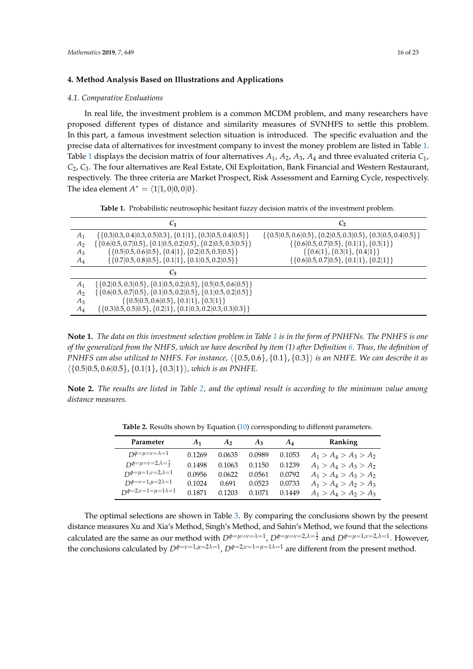#### <span id="page-15-0"></span>**4. Method Analysis Based on Illustrations and Applications**

#### *4.1. Comparative Evaluations*

In real life, the investment problem is a common MCDM problem, and many researchers have proposed different types of distance and similarity measures of SVNHFS to settle this problem. In this part, a famous investment selection situation is introduced. The specific evaluation and the precise data of alternatives for investment company to invest the money problem are listed in Table [1.](#page-15-1) Table [1](#page-15-1) displays the decision matrix of four alternatives  $A_1$ ,  $A_2$ ,  $A_3$ ,  $A_4$  and three evaluated criteria  $C_1$ , *C*2, *C*3. The four alternatives are Real Estate, Oil Exploitation, Bank Financial and Western Restaurant, respectively. The three criteria are Market Prospect, Risk Assessment and Earning Cycle, respectively. The idea element  $A^* = \langle 1|1, 0|0, 0|0 \}$ .

**Table 1.** Probabilistic neutrosophic hesitant fuzzy decision matrix of the investment problem.

<span id="page-15-1"></span>

|                | C <sub>1</sub>                                                          | $C_2$                                                                   |
|----------------|-------------------------------------------------------------------------|-------------------------------------------------------------------------|
| A <sub>1</sub> | $\{\{0.3 0.3, 0.4 0.3, 0.5 0.3\}, \{0.1 1\}, \{0.3 0.5, 0.4 0.5\}\}\$   | $\{\{0.5 0.5, 0.6 0.5\}, \{0.2 0.5, 0.3 0.5\}, \{0.3 0.5, 0.4 0.5\}\}\$ |
| A <sub>2</sub> | $\{\{0.6 0.5, 0.7 0.5\}, \{0.1 0.5, 0.2 0.5\}, \{0.2 0.5, 0.3 0.5\}\}\$ | $\{\{0.6 0.5, 0.7 0.5\}, \{0.1 1\}, \{0.3 1\}\}\$                       |
| $A_3$          | $\{\{0.5 0.5, 0.6 0.5\}, \{0.4 1\}, \{0.2 0.5, 0.3 0.5\}\}\$            | $\{\{0.6 1\}, \{0.3 1\}, \{0.4 1\}\}\$                                  |
| $A_4$          | $\{ \{0.7 0.5, 0.8 0.5\}, \{0.1 1\}, \{0.1 0.5, 0.2 0.5\} \}$           | $\{\{0.6 0.5, 0.7 0.5\}, \{0.1 1\}, \{0.2 1\}\}\$                       |
|                | $C_3$                                                                   |                                                                         |
| A <sub>1</sub> | $\{\{0.2 0.5, 0.3 0.5\}, \{0.1 0.5, 0.2 0.5\}, \{0.5 0.5, 0.6 0.5\}\}\$ |                                                                         |
| A <sub>2</sub> | $\{\{0.6 0.5, 0.7 0.5\}, \{0.1 0.5, 0.2 0.5\}, \{0.1 0.5, 0.2 0.5\}\}\$ |                                                                         |
| $A_3$          | $\{\{0.5 0.5, 0.6 0.5\}, \{0.1 1\}, \{0.3 1\}\}\$                       |                                                                         |
| $A_4$          | $\{ \{0.3 0.5, 0.5 0.5\}, \{0.2 1\}, \{0.1 0.3, 0.2 0.3, 0.3 0.3\} \}$  |                                                                         |

**Note 1.** *The data on this investment selection problem in Table [1](#page-15-1) is in the form of PNHFNs. The PNHFS is one of the generalized from the NHFS, which we have described by item (1) after Definition [6.](#page-3-1) Thus, the definition of PNHFS can also utilized to NHFS. For instance,*  $\langle$  {0.5, 0.6}, {0.1}, {0.3}} *is an NHFE. We can describe it as*  $\langle \{0.5|0.5, 0.6|0.5\}, \{0.1|1\}, \{0.3|1\}\rangle$ *, which is an PNHFE.* 

<span id="page-15-2"></span>**Note 2.** *The results are listed in Table [2,](#page-15-2) and the optimal result is according to the minimum value among distance measures.*

**Table 2.** Results shown by Equation [\(10\)](#page-10-1) corresponding to different parameters.

| Parameter                                | A <sub>1</sub> | A <sub>2</sub> | $A_3$  | $A_4$  | Ranking                 |
|------------------------------------------|----------------|----------------|--------|--------|-------------------------|
| $D^{\phi=\mu=\nu=\lambda=1}$             | 0.1269         | 0.0635         | 0.0989 | 0.1053 | $A_1 > A_4 > A_3 > A_2$ |
| $D^{\phi=\mu=\nu=2,\lambda=\frac{1}{2}}$ | 0.1498         | 0.1063         | 0.1150 | 0.1239 | $A_1 > A_4 > A_3 > A_2$ |
| $D^{\phi=\mu=1,\nu=2,\lambda=1}$         | 0.0956         | 0.0622         | 0.0561 | 0.0792 | $A_1 > A_4 > A_3 > A_2$ |
| $D^{\phi=\nu=1,\mu=2\lambda=1}$          | 0.1024         | 0.691          | 0.0523 | 0.0733 | $A_1 > A_4 > A_2 > A_3$ |
| $D\phi=2, \nu=1=\mu=1\lambda=1$          | 0.1871         | 0.1203         | 0.1071 | 0.1449 | $A_1 > A_4 > A_2 > A_3$ |

The optimal selections are shown in Table [3.](#page-16-0) By comparing the conclusions shown by the present distance measures Xu and Xia's Method, Singh's Method, and Sahin's Method, we found that the selections calculated are the same as our method with  $D^{\phi=\mu=\nu=\lambda=1}$ ,  $D^{\phi=\mu=\nu=2,\lambda=\frac{1}{2}}$  and  $D^{\phi=\mu=1,\nu=2,\lambda=1}$ . However, the conclusions calculated by  $D^{\phi=\nu=1,\mu=2\lambda=1}$ ,  $D^{\phi=2,\nu=1=\mu=1\lambda=1}$  are different from the present method.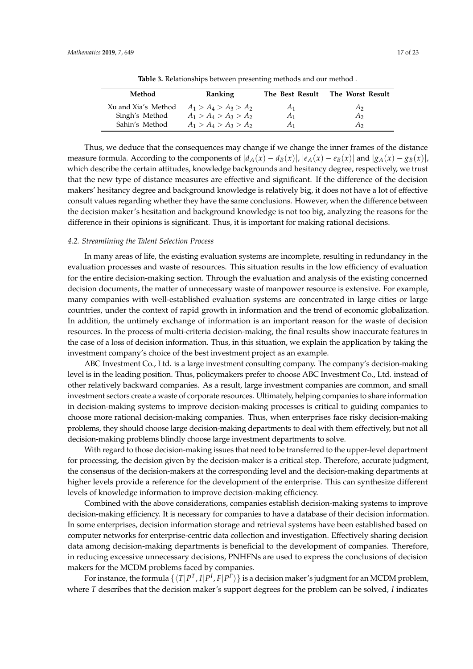<span id="page-16-0"></span>

| Method                                | Ranking                                            | The Best Result         | The Worst Result                 |
|---------------------------------------|----------------------------------------------------|-------------------------|----------------------------------|
| Xu and Xia's Method<br>Singh's Method | $A_1 > A_4 > A_3 > A_2$<br>$A_1 > A_4 > A_3 > A_2$ | A <sub>1</sub><br>$A_1$ | A <sub>2</sub><br>A <sub>2</sub> |
| Sahin's Method                        | $A_1 > A_4 > A_3 > A_2$                            | A <sub>1</sub>          | Аэ                               |

Table 3. Relationships between presenting methods and our method.

Thus, we deduce that the consequences may change if we change the inner frames of the distance measure formula. According to the components of  $|d_A(x) - d_B(x)|$ ,  $|e_A(x) - e_B(x)|$  and  $|g_A(x) - g_B(x)|$ , which describe the certain attitudes, knowledge backgrounds and hesitancy degree, respectively, we trust that the new type of distance measures are effective and significant. If the difference of the decision makers' hesitancy degree and background knowledge is relatively big, it does not have a lot of effective consult values regarding whether they have the same conclusions. However, when the difference between the decision maker's hesitation and background knowledge is not too big, analyzing the reasons for the difference in their opinions is significant. Thus, it is important for making rational decisions.

### *4.2. Streamlining the Talent Selection Process*

In many areas of life, the existing evaluation systems are incomplete, resulting in redundancy in the evaluation processes and waste of resources. This situation results in the low efficiency of evaluation for the entire decision-making section. Through the evaluation and analysis of the existing concerned decision documents, the matter of unnecessary waste of manpower resource is extensive. For example, many companies with well-established evaluation systems are concentrated in large cities or large countries, under the context of rapid growth in information and the trend of economic globalization. In addition, the untimely exchange of information is an important reason for the waste of decision resources. In the process of multi-criteria decision-making, the final results show inaccurate features in the case of a loss of decision information. Thus, in this situation, we explain the application by taking the investment company's choice of the best investment project as an example.

ABC Investment Co., Ltd. is a large investment consulting company. The company's decision-making level is in the leading position. Thus, policymakers prefer to choose ABC Investment Co., Ltd. instead of other relatively backward companies. As a result, large investment companies are common, and small investment sectors create a waste of corporate resources. Ultimately, helping companies to share information in decision-making systems to improve decision-making processes is critical to guiding companies to choose more rational decision-making companies. Thus, when enterprises face risky decision-making problems, they should choose large decision-making departments to deal with them effectively, but not all decision-making problems blindly choose large investment departments to solve.

With regard to those decision-making issues that need to be transferred to the upper-level department for processing, the decision given by the decision-maker is a critical step. Therefore, accurate judgment, the consensus of the decision-makers at the corresponding level and the decision-making departments at higher levels provide a reference for the development of the enterprise. This can synthesize different levels of knowledge information to improve decision-making efficiency.

Combined with the above considerations, companies establish decision-making systems to improve decision-making efficiency. It is necessary for companies to have a database of their decision information. In some enterprises, decision information storage and retrieval systems have been established based on computer networks for enterprise-centric data collection and investigation. Effectively sharing decision data among decision-making departments is beneficial to the development of companies. Therefore, in reducing excessive unnecessary decisions, PNHFNs are used to express the conclusions of decision makers for the MCDM problems faced by companies.

For instance, the formula  $\{\langle T|P^{T}, I|P^{I}, F|P^{F}\rangle\}$  is a decision maker's judgment for an MCDM problem, where *T* describes that the decision maker's support degrees for the problem can be solved, *I* indicates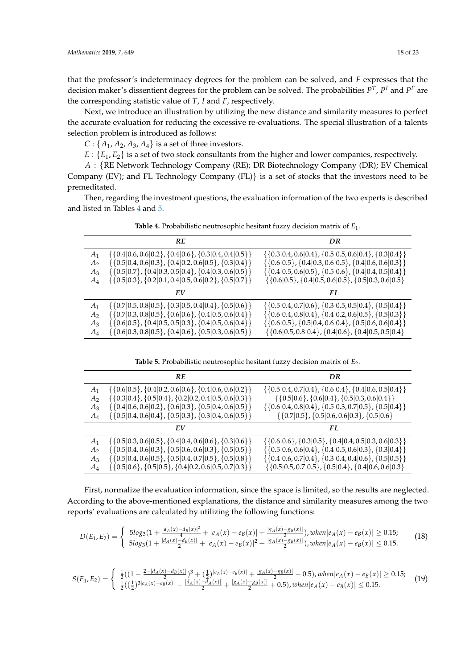that the professor's indeterminacy degrees for the problem can be solved, and *F* expresses that the decision maker's dissentient degrees for the problem can be solved. The probabilities *P T* , *P <sup>I</sup>* and *P <sup>F</sup>* are the corresponding statistic value of *T*, *I* and *F*, respectively.

Next, we introduce an illustration by utilizing the new distance and similarity measures to perfect the accurate evaluation for reducing the excessive re-evaluations. The special illustration of a talents selection problem is introduced as follows:

 $C: \{A_1, A_2, A_3, A_4\}$  is a set of three investors.

 $E: \{E_1, E_2\}$  is a set of two stock consultants from the higher and lower companies, respectively.

*A* : {RE Network Technology Company (RE); DR Biotechnology Company (DR); EV Chemical Company (EV); and FL Technology Company (FL)} is a set of stocks that the investors need to be premeditated.

<span id="page-17-0"></span>Then, regarding the investment questions, the evaluation information of the two experts is described and listed in Tables [4](#page-17-0) and [5.](#page-17-1)

|       | <b>RE</b>                                                      | DR                                                             |
|-------|----------------------------------------------------------------|----------------------------------------------------------------|
| $A_1$ | $\{\{0.4 0.6, 0.6 0.2\}, \{0.4 0.6\}, \{0.3 0.4, 0.4 0.5\}\}\$ | $\{\{0.3 0.4, 0.6 0.4\}, \{0.5 0.5, 0.6 0.4\}, \{0.3 0.4\}\}\$ |
| А2    | $\{\{0.5 0.4, 0.6 0.3\}, \{0.4 0.2, 0.6 0.5\}, \{0.3 0.4\}\}\$ | $\{\{0.6 0.5\}, \{0.4 0.3, 0.6 0.5\}, \{0.4 0.6, 0.6 0.3\}\}\$ |
| $A_3$ | $\{\{0.5 0.7\}, \{0.4 0.3, 0.5 0.4\}, \{0.4 0.3, 0.6 0.5\}\}\$ | $\{\{0.4 0.5, 0.6 0.5\}, \{0.5 0.6\}, \{0.4 0.4, 0.5 0.4\}\}\$ |
| $A_4$ | $\{\{0.5 0.3\}, \{0.2 0.1, 0.4 0.5, 0.6 0.2\}, \{0.5 0.7\}\}\$ | $\{\{0.6 0.5\}, \{0.4 0.5, 0.6 0.5\}, \{0.5 0.3, 0.6 0.5\}\}$  |
|       | F.V                                                            | FI.                                                            |
| $A_1$ | $\{\{0.7 0.5, 0.8 0.5\}, \{0.3 0.5, 0.4 0.4\}, \{0.5 0.6\}\}\$ | $\{\{0.5 0.4, 0.7 0.6\}, \{0.3 0.5, 0.5 0.4\}, \{0.5 0.4\}\}\$ |
| $A_2$ | $\{\{0.7 0.3, 0.8 0.5\}, \{0.6 0.6\}, \{0.4 0.5, 0.6 0.4\}\}\$ | $\{\{0.6 0.4, 0.8 0.4\}, \{0.4 0.2, 0.6 0.5\}, \{0.5 0.3\}\}\$ |
| $A_3$ | $\{\{0.6 0.5\}, \{0.4 0.5, 0.5 0.3\}, \{0.4 0.5, 0.6 0.4\}\}\$ | $\{\{0.6 0.5\}, \{0.5 0.4, 0.6 0.4\}, \{0.5 0.6, 0.6 0.4\}\}\$ |
| $A_4$ | $\{\{0.6 0.3, 0.8 0.5\}, \{0.4 0.6\}, \{0.5 0.3, 0.6 0.5\}\}\$ | $\{\{0.6 0.5, 0.8 0.4\}, \{0.4 0.6\}, \{0.4 0.5, 0.5 0.4\}\}$  |
|       |                                                                |                                                                |

**Table 4.** Probabilistic neutrosophic hesitant fuzzy decision matrix of *E*<sup>1</sup> .

Table 5. Probabilistic neutrosophic hesitant fuzzy decision matrix of *E*<sub>2</sub>.

<span id="page-17-1"></span>

|       | <b>RE</b>                                                      | DR                                                             |
|-------|----------------------------------------------------------------|----------------------------------------------------------------|
| $A_1$ | $\{\{0.6 0.5\}, \{0.4 0.2, 0.6 0.6\}, \{0.4 0.6, 0.6 0.2\}\}\$ | $\{\{0.5 0.4, 0.7 0.4\}, \{0.6 0.4\}, \{0.4 0.6, 0.5 0.4\}\}\$ |
| A,    | $\{\{0.3 0.4\}, \{0.5 0.4\}, \{0.2 0.2, 0.4 0.5, 0.6 0.3\}\}\$ | $\{\{0.5 0.6\}, \{0.6 0.4\}, \{0.5 0.3, 0.6 0.4\}\}\$          |
| $A_3$ | $\{\{0.4 0.6, 0.6 0.2\}, \{0.6 0.3\}, \{0.5 0.4, 0.6 0.5\}\}\$ | $\{\{0.6 0.4, 0.8 0.4\}, \{0.5 0.3, 0.7 0.5\}, \{0.5 0.4\}\}\$ |
| A4    | $\{\{0.5 0.4, 0.6 0.4\}, \{0.5 0.3\}, \{0.3 0.4, 0.6 0.5\}\}\$ | $\{\{0.7 0.5\}, \{0.5 0.6, 0.6 0.3\}, \{0.5 0.6\}\}$           |
|       | F.V                                                            | FI.                                                            |
| $A_1$ | $\{\{0.5 0.3, 0.6 0.5\}, \{0.4 0.4, 0.6 0.6\}, \{0.3 0.6\}\}\$ | $\{\{0.6 0.6\}, \{0.3 0.5\}, \{0.4 0.4, 0.5 0.3, 0.6 0.3\}\}\$ |
| А2    | $\{\{0.5 0.4, 0.6 0.3\}, \{0.5 0.6, 0.6 0.3\}, \{0.5 0.5\}\}\$ | $\{\{0.5 0.6, 0.6 0.4\}, \{0.4 0.5, 0.6 0.3\}, \{0.3 0.4\}\}\$ |
| $A_3$ | $\{\{0.5 0.4, 0.6 0.5\}, \{0.5 0.4, 0.7 0.5\}, \{0.5 0.8\}\}\$ | $\{\{0.4 0.6, 0.7 0.4\}, \{0.3 0.4, 0.4 0.6\}, \{0.5 0.5\}\}\$ |
| $A_4$ | $\{\{0.5 0.6\}, \{0.5 0.5\}, \{0.4 0.2, 0.6 0.5, 0.7 0.3\}\}\$ | $\{\{0.5 0.5, 0.7 0.5\}, \{0.5 0.4\}, \{0.4 0.6, 0.6 0.3\}\}$  |

First, normalize the evaluation information, since the space is limited, so the results are neglected. According to the above-mentioned explanations, the distance and similarity measures among the two reports' evaluations are calculated by utilizing the following functions:

<span id="page-17-2"></span>
$$
D(E_1, E_2) = \begin{cases} 5\log_3(1 + \frac{|d_A(x) - d_B(x)|^2}{4} + |e_A(x) - e_B(x)| + \frac{|g_A(x) - g_B(x)|}{2}), when |e_A(x) - e_B(x)| \ge 0.15; \\ 5\log_3(1 + \frac{|d_A(x) - d_B(x)|}{2} + |e_A(x) - e_B(x)|^2 + \frac{|g_A(x) - g_B(x)|}{2}), when |e_A(x) - e_B(x)| \le 0.15. \end{cases}
$$
(18)

<span id="page-17-3"></span>
$$
S(E_1, E_2) = \begin{cases} \frac{1}{2}((1 - \frac{2 - |d_A(x) - d_B(x)|}{2})^3 + (\frac{1}{2})^{|e_A(x) - e_B(x)|} + \frac{|g_A(x) - g_B(x)|}{2} - 0.5), when |e_A(x) - e_B(x)| \ge 0.15; \\ \frac{1}{2}((\frac{1}{2})^{3|e_A(x) - e_B(x)|} - \frac{|d_A(x) - d_A(x)|}{2} + \frac{|g_A(x) - g_B(x)|}{2} + 0.5), when |e_A(x) - e_B(x)| \le 0.15. \end{cases} (19)
$$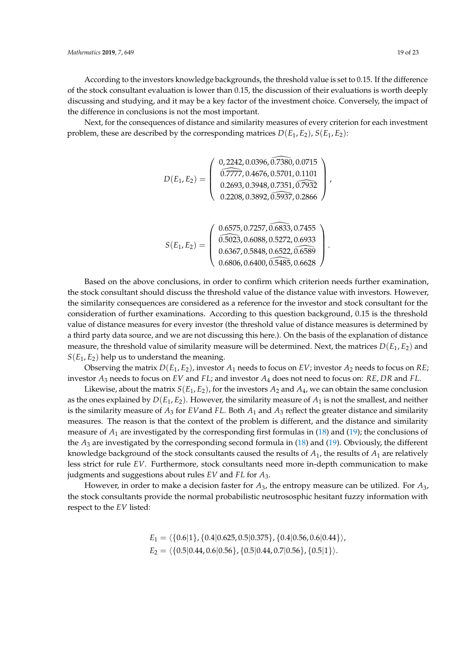According to the investors knowledge backgrounds, the threshold value is set to 0.15. If the difference of the stock consultant evaluation is lower than 0.15, the discussion of their evaluations is worth deeply discussing and studying, and it may be a key factor of the investment choice. Conversely, the impact of the difference in conclusions is not the most important.

Next, for the consequences of distance and similarity measures of every criterion for each investment problem, these are described by the corresponding matrices  $D(E_1, E_2)$ ,  $S(E_1, E_2)$ :

$$
D(E_1, E_2) = \left(\begin{array}{c} 0,2242,0.0396,\widetilde{0.7380},0.0715\\ \widetilde{0.7777},0.4676,0.5701,0.1101\\ 0.2693,0.3948,0.7351,\widetilde{0.7932}\\ 0.2208,0.3892,\widetilde{0.5937},0.2866 \end{array}\right),
$$

$$
S(E_1, E_2) = \left(\begin{array}{c} 0.6575, 0.7257, 0.6833, 0.7455 \\ \overline{0.5023}, 0.6088, 0.5272, 0.6933 \\ 0.6367, 0.5848, 0.6522, 0.6589 \\ 0.6806, 0.6400, 0.5485, 0.6628 \end{array}\right)
$$

.

Based on the above conclusions, in order to confirm which criterion needs further examination, the stock consultant should discuss the threshold value of the distance value with investors. However, the similarity consequences are considered as a reference for the investor and stock consultant for the consideration of further examinations. According to this question background, 0.15 is the threshold value of distance measures for every investor (the threshold value of distance measures is determined by a third party data source, and we are not discussing this here.). On the basis of the explanation of distance measure, the threshold value of similarity measure will be determined. Next, the matrices  $D(E_1, E_2)$  and  $S(E_1, E_2)$  help us to understand the meaning.

Observing the matrix  $D(E_1, E_2)$ , investor  $A_1$  needs to focus on *EV*; investor  $A_2$  needs to focus on *RE*; investor *A*<sup>3</sup> needs to focus on *EV* and *FL*; and investor *A*<sup>4</sup> does not need to focus on: *RE*, *DR* and *FL*.

Likewise, about the matrix  $S(E_1, E_2)$ , for the investors  $A_2$  and  $A_4$ , we can obtain the same conclusion as the ones explained by  $D(E_1, E_2)$ . However, the similarity measure of  $A_1$  is not the smallest, and neither is the similarity measure of *A*<sup>3</sup> for *EV*and *FL*. Both *A*<sup>1</sup> and *A*<sup>3</sup> reflect the greater distance and similarity measures. The reason is that the context of the problem is different, and the distance and similarity measure of *A*<sup>1</sup> are investigated by the corresponding first formulas in [\(18\)](#page-17-2) and [\(19\)](#page-17-3); the conclusions of the *A*<sup>3</sup> are investigated by the corresponding second formula in [\(18\)](#page-17-2) and [\(19\)](#page-17-3). Obviously, the different knowledge background of the stock consultants caused the results of *A*1, the results of *A*<sup>1</sup> are relatively less strict for rule *EV*. Furthermore, stock consultants need more in-depth communication to make judgments and suggestions about rules *EV* and *FL* for *A*3.

However, in order to make a decision faster for *A*3, the entropy measure can be utilized. For *A*3, the stock consultants provide the normal probabilistic neutrososphic hesitant fuzzy information with respect to the *EV* listed:

> $E_1 = \langle \{0.6|1\}, \{0.4|0.625, 0.5|0.375\}, \{0.4|0.56, 0.6|0.44\}\rangle$  $E_2 = \langle \{0.5|0.44, 0.6|0.56\}, \{0.5|0.44, 0.7|0.56\}, \{0.5|1\}\rangle.$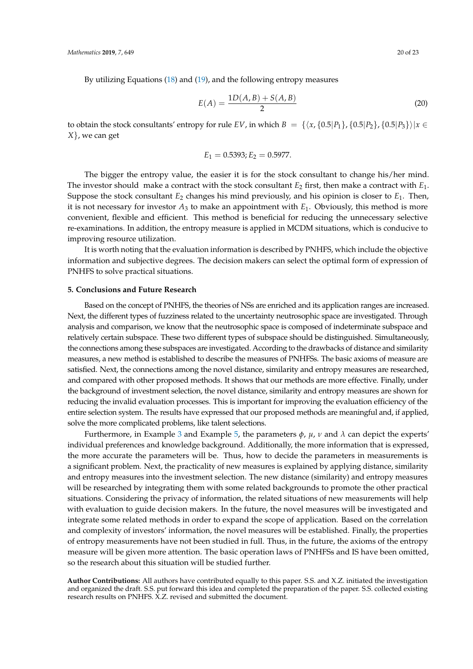By utilizing Equations [\(18\)](#page-17-2) and [\(19\)](#page-17-3), and the following entropy measures

$$
E(A) = \frac{1D(A,B) + S(A,B)}{2}
$$
 (20)

to obtain the stock consultants' entropy for rule *EV*, in which  $B = {\langle x, {0.5|P_1}, {0.5|P_2}, {0.5|P_3} \rangle | x \in$ *X*}, we can get

$$
E_1 = 0.5393; E_2 = 0.5977.
$$

The bigger the entropy value, the easier it is for the stock consultant to change his/her mind. The investor should make a contract with the stock consultant  $E_2$  first, then make a contract with  $E_1$ . Suppose the stock consultant  $E_2$  changes his mind previously, and his opinion is closer to  $E_1$ . Then, it is not necessary for investor  $A_3$  to make an appointment with  $E_1$ . Obviously, this method is more convenient, flexible and efficient. This method is beneficial for reducing the unnecessary selective re-examinations. In addition, the entropy measure is applied in MCDM situations, which is conducive to improving resource utilization.

It is worth noting that the evaluation information is described by PNHFS, which include the objective information and subjective degrees. The decision makers can select the optimal form of expression of PNHFS to solve practical situations.

#### **5. Conclusions and Future Research**

Based on the concept of PNHFS, the theories of NSs are enriched and its application ranges are increased. Next, the different types of fuzziness related to the uncertainty neutrosophic space are investigated. Through analysis and comparison, we know that the neutrosophic space is composed of indeterminate subspace and relatively certain subspace. These two different types of subspace should be distinguished. Simultaneously, the connections among these subspaces are investigated. According to the drawbacks of distance and similarity measures, a new method is established to describe the measures of PNHFSs. The basic axioms of measure are satisfied. Next, the connections among the novel distance, similarity and entropy measures are researched, and compared with other proposed methods. It shows that our methods are more effective. Finally, under the background of investment selection, the novel distance, similarity and entropy measures are shown for reducing the invalid evaluation processes. This is important for improving the evaluation efficiency of the entire selection system. The results have expressed that our proposed methods are meaningful and, if applied, solve the more complicated problems, like talent selections.

Furthermore, in Example [3](#page-10-0) and Example [5,](#page-12-0) the parameters  $\phi$ ,  $\mu$ ,  $\nu$  and  $\lambda$  can depict the experts' individual preferences and knowledge background. Additionally, the more information that is expressed, the more accurate the parameters will be. Thus, how to decide the parameters in measurements is a significant problem. Next, the practicality of new measures is explained by applying distance, similarity and entropy measures into the investment selection. The new distance (similarity) and entropy measures will be researched by integrating them with some related backgrounds to promote the other practical situations. Considering the privacy of information, the related situations of new measurements will help with evaluation to guide decision makers. In the future, the novel measures will be investigated and integrate some related methods in order to expand the scope of application. Based on the correlation and complexity of investors' information, the novel measures will be established. Finally, the properties of entropy measurements have not been studied in full. Thus, in the future, the axioms of the entropy measure will be given more attention. The basic operation laws of PNHFSs and IS have been omitted, so the research about this situation will be studied further.

**Author Contributions:** All authors have contributed equally to this paper. S.S. and X.Z. initiated the investigation and organized the draft. S.S. put forward this idea and completed the preparation of the paper. S.S. collected existing research results on PNHFS. X.Z. revised and submitted the document.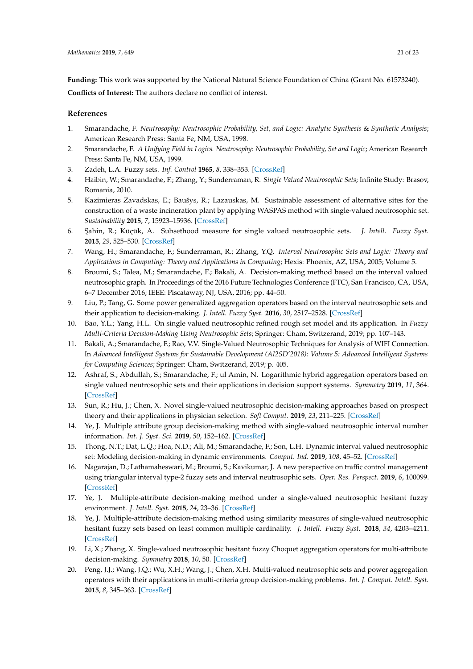**Funding:** This work was supported by the National Natural Science Foundation of China (Grant No. 61573240). **Conflicts of Interest:** The authors declare no conflict of interest.

## **References**

- <span id="page-20-0"></span>1. Smarandache, F. *Neutrosophy: Neutrosophic Probability, Set, and Logic: Analytic Synthesis* & *Synthetic Analysis*; American Research Press: Santa Fe, NM, USA, 1998.
- <span id="page-20-1"></span>2. Smarandache, F. *A Unifying Field in Logics. Neutrosophy: Neutrosophic Probability, Set and Logic*; American Research Press: Santa Fe, NM, USA, 1999.
- <span id="page-20-2"></span>3. Zadeh, L.A. Fuzzy sets. *Inf. Control* **1965**, *8*, 338–353. [\[CrossRef\]](http://dx.doi.org/10.1016/S0019-9958(65)90241-X)
- <span id="page-20-3"></span>4. Haibin, W.; Smarandache, F.; Zhang, Y.; Sunderraman, R. *Single Valued Neutrosophic Sets*; Infinite Study: Brasov, Romania, 2010.
- 5. Kazimieras Zavadskas, E.; Baušys, R.; Lazauskas, M. Sustainable assessment of alternative sites for the construction of a waste incineration plant by applying WASPAS method with single-valued neutrosophic set. *Sustainability* **2015**, *7*, 15923–15936. [\[CrossRef\]](http://dx.doi.org/10.3390/su71215792)
- <span id="page-20-4"></span>6. ¸Sahin, R.; Küçük, A. Subsethood measure for single valued neutrosophic sets. *J. Intell. Fuzzy Syst.* **2015**, *29*, 525–530. [\[CrossRef\]](http://dx.doi.org/10.3233/IFS-141304)
- <span id="page-20-5"></span>7. Wang, H.; Smarandache, F.; Sunderraman, R.; Zhang, Y.Q. *Interval Neutrosophic Sets and Logic: Theory and Applications in Computing: Theory and Applications in Computing*; Hexis: Phoenix, AZ, USA, 2005; Volume 5.
- 8. Broumi, S.; Talea, M.; Smarandache, F.; Bakali, A. Decision-making method based on the interval valued neutrosophic graph. In Proceedings of the 2016 Future Technologies Conference (FTC), San Francisco, CA, USA, 6–7 December 2016; IEEE: Piscataway, NJ, USA, 2016; pp. 44–50.
- <span id="page-20-6"></span>9. Liu, P.; Tang, G. Some power generalized aggregation operators based on the interval neutrosophic sets and their application to decision-making. *J. Intell. Fuzzy Syst.* **2016**, *30*, 2517–2528. [\[CrossRef\]](http://dx.doi.org/10.3233/IFS-151782)
- <span id="page-20-7"></span>10. Bao, Y.L.; Yang, H.L. On single valued neutrosophic refined rough set model and its application. In *Fuzzy Multi-Criteria Decision-Making Using Neutrosophic Sets*; Springer: Cham, Switzerand, 2019; pp. 107–143.
- 11. Bakali, A.; Smarandache, F.; Rao, V.V. Single-Valued Neutrosophic Techniques for Analysis of WIFI Connection. In *Advanced Intelligent Systems for Sustainable Development (AI2SD'2018): Volume 5: Advanced Intelligent Systems for Computing Sciences*; Springer: Cham, Switzerand, 2019; p. 405.
- 12. Ashraf, S.; Abdullah, S.; Smarandache, F.; ul Amin, N. Logarithmic hybrid aggregation operators based on single valued neutrosophic sets and their applications in decision support systems. *Symmetry* **2019**, *11*, 364. [\[CrossRef\]](http://dx.doi.org/10.3390/sym11030364)
- 13. Sun, R.; Hu, J.; Chen, X. Novel single-valued neutrosophic decision-making approaches based on prospect theory and their applications in physician selection. *Soft Comput.* **2019**, *23*, 211–225. [\[CrossRef\]](http://dx.doi.org/10.1007/s00500-017-2949-0)
- 14. Ye, J. Multiple attribute group decision-making method with single-valued neutrosophic interval number information. *Int. J. Syst. Sci.* **2019**, *50*, 152–162. [\[CrossRef\]](http://dx.doi.org/10.1080/00207721.2018.1551968)
- 15. Thong, N.T.; Dat, L.Q.; Hoa, N.D.; Ali, M.; Smarandache, F.; Son, L.H. Dynamic interval valued neutrosophic set: Modeling decision-making in dynamic environments. *Comput. Ind.* **2019**, *108*, 45–52. [\[CrossRef\]](http://dx.doi.org/10.1016/j.compind.2019.02.009)
- <span id="page-20-8"></span>16. Nagarajan, D.; Lathamaheswari, M.; Broumi, S.; Kavikumar, J. A new perspective on traffic control management using triangular interval type-2 fuzzy sets and interval neutrosophic sets. *Oper. Res. Perspect.* **2019**, *6*, 100099. [\[CrossRef\]](http://dx.doi.org/10.1016/j.orp.2019.100099)
- <span id="page-20-9"></span>17. Ye, J. Multiple-attribute decision-making method under a single-valued neutrosophic hesitant fuzzy environment. *J. Intell. Syst.* **2015**, *24*, 23–36. [\[CrossRef\]](http://dx.doi.org/10.1515/jisys-2014-0001)
- <span id="page-20-12"></span>18. Ye, J. Multiple-attribute decision-making method using similarity measures of single-valued neutrosophic hesitant fuzzy sets based on least common multiple cardinality. *J. Intell. Fuzzy Syst.* **2018**, *34*, 4203–4211. [\[CrossRef\]](http://dx.doi.org/10.3233/JIFS-171941)
- <span id="page-20-10"></span>19. Li, X.; Zhang, X. Single-valued neutrosophic hesitant fuzzy Choquet aggregation operators for multi-attribute decision-making. *Symmetry* **2018**, *10*, 50. [\[CrossRef\]](http://dx.doi.org/10.3390/sym10020050)
- <span id="page-20-11"></span>20. Peng, J.J.; Wang, J.Q.; Wu, X.H.; Wang, J.; Chen, X.H. Multi-valued neutrosophic sets and power aggregation operators with their applications in multi-criteria group decision-making problems. *Int. J. Comput. Intell. Syst.* **2015**, *8*, 345–363. [\[CrossRef\]](http://dx.doi.org/10.1080/18756891.2015.1001957)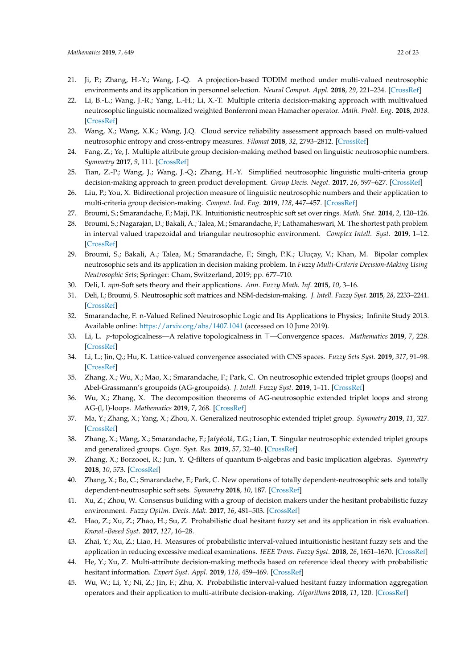- 21. Ji, P.; Zhang, H.-Y.; Wang, J.-Q. A projection-based TODIM method under multi-valued neutrosophic environments and its application in personnel selection. *Neural Comput. Appl.* **2018**, *29*, 221–234. [\[CrossRef\]](http://dx.doi.org/10.1007/s00521-016-2436-z)
- 22. Li, B.-L.; Wang, J.-R.; Yang, L.-H.; Li, X.-T. Multiple criteria decision-making approach with multivalued neutrosophic linguistic normalized weighted Bonferroni mean Hamacher operator. *Math. Probl. Eng.* **2018**, *2018*. [\[CrossRef\]](http://dx.doi.org/10.1155/2018/2432167)
- <span id="page-21-0"></span>23. Wang, X.; Wang, X.K.; Wang, J.Q. Cloud service reliability assessment approach based on multi-valued neutrosophic entropy and cross-entropy measures. *Filomat* **2018**, *32*, 2793–2812. [\[CrossRef\]](http://dx.doi.org/10.2298/FIL1808793W)
- <span id="page-21-1"></span>24. Fang, Z.; Ye, J. Multiple attribute group decision-making method based on linguistic neutrosophic numbers. *Symmetry* **2017**, *9*, 111. [\[CrossRef\]](http://dx.doi.org/10.3390/sym9070111)
- 25. Tian, Z.-P.; Wang, J.; Wang, J.-Q.; Zhang, H.-Y. Simplified neutrosophic linguistic multi-criteria group decision-making approach to green product development. *Group Decis. Negot.* **2017**, *26*, 597–627. [\[CrossRef\]](http://dx.doi.org/10.1007/s10726-016-9479-5)
- <span id="page-21-2"></span>26. Liu, P.; You, X. Bidirectional projection measure of linguistic neutrosophic numbers and their application to multi-criteria group decision-making. *Comput. Ind. Eng.* **2019**, *128*, 447–457. [\[CrossRef\]](http://dx.doi.org/10.1016/j.cie.2018.12.052)
- <span id="page-21-3"></span>27. Broumi, S.; Smarandache, F.; Maji, P.K. Intuitionistic neutrosphic soft set over rings. *Math. Stat.* **2014**, *2*, 120–126.
- 28. Broumi, S.; Nagarajan, D.; Bakali, A.; Talea, M.; Smarandache, F.; Lathamaheswari, M. The shortest path problem in interval valued trapezoidal and triangular neutrosophic environment. *Complex Intell. Syst.* **2019**, 1–12. [\[CrossRef\]](http://dx.doi.org/10.1007/s40747-019-0092-5)
- 29. Broumi, S.; Bakali, A.; Talea, M.; Smarandache, F.; Singh, P.K.; Uluçay, V.; Khan, M. Bipolar complex neutrosophic sets and its application in decision making problem. In *Fuzzy Multi-Criteria Decision-Making Using Neutrosophic Sets*; Springer: Cham, Switzerland, 2019; pp. 677–710.
- 30. Deli, I. *npn*-Soft sets theory and their applications. *Ann. Fuzzy Math. Inf.* **2015**, *10*, 3–16.
- 31. Deli, I.; Broumi, S. Neutrosophic soft matrices and NSM-decision-making. *J. Intell. Fuzzy Syst.* **2015**, *28*, 2233–2241. [\[CrossRef\]](http://dx.doi.org/10.3233/IFS-141505)
- <span id="page-21-4"></span>32. Smarandache, F. n-Valued Refined Neutrosophic Logic and Its Applications to Physics; Infinite Study 2013. Available online: <https://arxiv.org/abs/1407.1041> (accessed on 10 June 2019).
- <span id="page-21-5"></span>33. Li, L. *p*-topologicalness—A relative topologicalness in >—Convergence spaces. *Mathematics* **2019**, *7*, 228. [\[CrossRef\]](http://dx.doi.org/10.3390/math7030228)
- 34. Li, L.; Jin, Q.; Hu, K. Lattice-valued convergence associated with CNS spaces. *Fuzzy Sets Syst.* **2019**, *317*, 91–98. [\[CrossRef\]](http://dx.doi.org/10.1016/j.fss.2018.05.023)
- 35. Zhang, X.; Wu, X.; Mao, X.; Smarandache, F.; Park, C. On neutrosophic extended triplet groups (loops) and Abel-Grassmann's groupoids (AG-groupoids). *J. Intell. Fuzzy Syst.* **2019**, 1–11. [\[CrossRef\]](http://dx.doi.org/10.3233/JIFS-181742)
- 36. Wu, X.; Zhang, X. The decomposition theorems of AG-neutrosophic extended triplet loops and strong AG-(l, l)-loops. *Mathematics* **2019**, *7*, 268. [\[CrossRef\]](http://dx.doi.org/10.3390/math7030268)
- 37. Ma, Y.; Zhang, X.; Yang, X.; Zhou, X. Generalized neutrosophic extended triplet group. *Symmetry* **2019**, *11*, 327. [\[CrossRef\]](http://dx.doi.org/10.3390/sym11030327)
- 38. Zhang, X.; Wang, X.; Smarandache, F.; Jaíyéolá, T.G.; Lian, T. Singular neutrosophic extended triplet groups and generalized groups. *Cogn. Syst. Res.* **2019**, *57*, 32–40. [\[CrossRef\]](http://dx.doi.org/10.1016/j.cogsys.2018.10.009)
- 39. Zhang, X.; Borzooei, R.; Jun, Y. Q-filters of quantum B-algebras and basic implication algebras. *Symmetry* **2018**, *10*, 573. [\[CrossRef\]](http://dx.doi.org/10.3390/sym10110573)
- <span id="page-21-6"></span>40. Zhang, X.; Bo, C.; Smarandache, F.; Park, C. New operations of totally dependent-neutrosophic sets and totally dependent-neutrosophic soft sets. *Symmetry* **2018**, *10*, 187. [\[CrossRef\]](http://dx.doi.org/10.3390/sym10060187)
- <span id="page-21-7"></span>41. Xu, Z.; Zhou, W. Consensus building with a group of decision makers under the hesitant probabilistic fuzzy environment. *Fuzzy Optim. Decis. Mak.* **2017**, *16*, 481–503. [\[CrossRef\]](http://dx.doi.org/10.1007/s10700-016-9257-5)
- <span id="page-21-8"></span>42. Hao, Z.; Xu, Z.; Zhao, H.; Su, Z. Probabilistic dual hesitant fuzzy set and its application in risk evaluation. *Knowl.-Based Syst.* **2017**, *127*, 16–28.
- <span id="page-21-9"></span>43. Zhai, Y.; Xu, Z.; Liao, H. Measures of probabilistic interval-valued intuitionistic hesitant fuzzy sets and the application in reducing excessive medical examinations. *IEEE Trans. Fuzzy Syst.* **2018**, *26*, 1651–1670. [\[CrossRef\]](http://dx.doi.org/10.1109/TFUZZ.2017.2740201)
- <span id="page-21-10"></span>44. He, Y.; Xu, Z. Multi-attribute decision-making methods based on reference ideal theory with probabilistic hesitant information. *Expert Syst. Appl.* **2019**, *118*, 459–469. [\[CrossRef\]](http://dx.doi.org/10.1016/j.eswa.2018.10.014)
- 45. Wu, W.; Li, Y.; Ni, Z.; Jin, F.; Zhu, X. Probabilistic interval-valued hesitant fuzzy information aggregation operators and their application to multi-attribute decision-making. *Algorithms* **2018**, *11*, 120. [\[CrossRef\]](http://dx.doi.org/10.3390/a11080120)